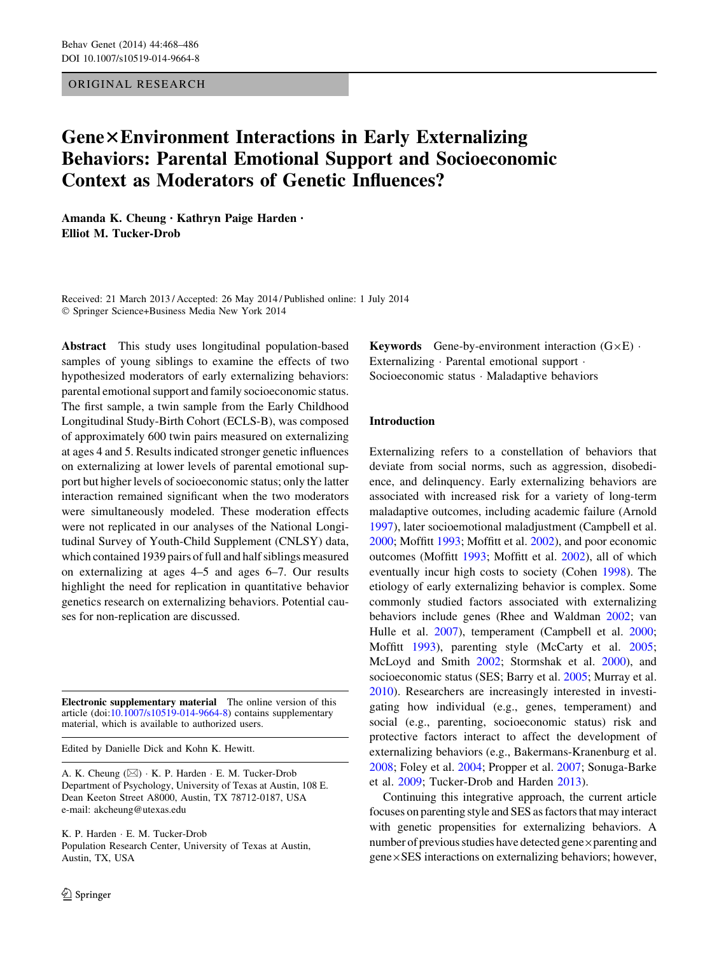## ORIGINAL RESEARCH

# Gene×Environment Interactions in Early Externalizing Behaviors: Parental Emotional Support and Socioeconomic Context as Moderators of Genetic Influences?

Amanda K. Cheung • Kathryn Paige Harden • Elliot M. Tucker-Drob

Received: 21 March 2013 / Accepted: 26 May 2014 / Published online: 1 July 2014 - Springer Science+Business Media New York 2014

Abstract This study uses longitudinal population-based samples of young siblings to examine the effects of two hypothesized moderators of early externalizing behaviors: parental emotional support and family socioeconomic status. The first sample, a twin sample from the Early Childhood Longitudinal Study-Birth Cohort (ECLS-B), was composed of approximately 600 twin pairs measured on externalizing at ages 4 and 5. Results indicated stronger genetic influences on externalizing at lower levels of parental emotional support but higher levels of socioeconomic status; only the latter interaction remained significant when the two moderators were simultaneously modeled. These moderation effects were not replicated in our analyses of the National Longitudinal Survey of Youth-Child Supplement (CNLSY) data, which contained 1939 pairs of full and half siblings measured on externalizing at ages 4–5 and ages 6–7. Our results highlight the need for replication in quantitative behavior genetics research on externalizing behaviors. Potential causes for non-replication are discussed.

Electronic supplementary material The online version of this article (doi:[10.1007/s10519-014-9664-8\)](http://dx.doi.org/10.1007/s10519-014-9664-8) contains supplementary material, which is available to authorized users.

Edited by Danielle Dick and Kohn K. Hewitt.

A. K. Cheung (⊠) · K. P. Harden · E. M. Tucker-Drob Department of Psychology, University of Texas at Austin, 108 E. Dean Keeton Street A8000, Austin, TX 78712-0187, USA e-mail: akcheung@utexas.edu

K. P. Harden - E. M. Tucker-Drob Population Research Center, University of Texas at Austin, Austin, TX, USA

Keywords Gene-by-environment interaction  $(G \times E)$ . Externalizing - Parental emotional support - Socioeconomic status - Maladaptive behaviors

# Introduction

Externalizing refers to a constellation of behaviors that deviate from social norms, such as aggression, disobedience, and delinquency. Early externalizing behaviors are associated with increased risk for a variety of long-term maladaptive outcomes, including academic failure (Arnold [1997](#page-17-0)), later socioemotional maladjustment (Campbell et al. [2000](#page-17-0); Moffitt [1993;](#page-18-0) Moffitt et al. [2002\)](#page-18-0), and poor economic outcomes (Moffitt [1993](#page-18-0); Moffitt et al. [2002](#page-18-0)), all of which eventually incur high costs to society (Cohen [1998\)](#page-17-0). The etiology of early externalizing behavior is complex. Some commonly studied factors associated with externalizing behaviors include genes (Rhee and Waldman [2002](#page-18-0); van Hulle et al. [2007\)](#page-18-0), temperament (Campbell et al. [2000](#page-17-0); Moffitt [1993](#page-18-0)), parenting style (McCarty et al. [2005](#page-18-0); McLoyd and Smith [2002;](#page-18-0) Stormshak et al. [2000\)](#page-18-0), and socioeconomic status (SES; Barry et al. [2005;](#page-17-0) Murray et al. [2010](#page-18-0)). Researchers are increasingly interested in investigating how individual (e.g., genes, temperament) and social (e.g., parenting, socioeconomic status) risk and protective factors interact to affect the development of externalizing behaviors (e.g., Bakermans-Kranenburg et al. [2008](#page-17-0); Foley et al. [2004](#page-17-0); Propper et al. [2007;](#page-18-0) Sonuga-Barke et al. [2009;](#page-18-0) Tucker-Drob and Harden [2013\)](#page-18-0).

Continuing this integrative approach, the current article focuses on parenting style and SES as factors that may interact with genetic propensities for externalizing behaviors. A number of previous studies have detected gene $\times$  parenting and  $gene \times SES$  interactions on externalizing behaviors; however,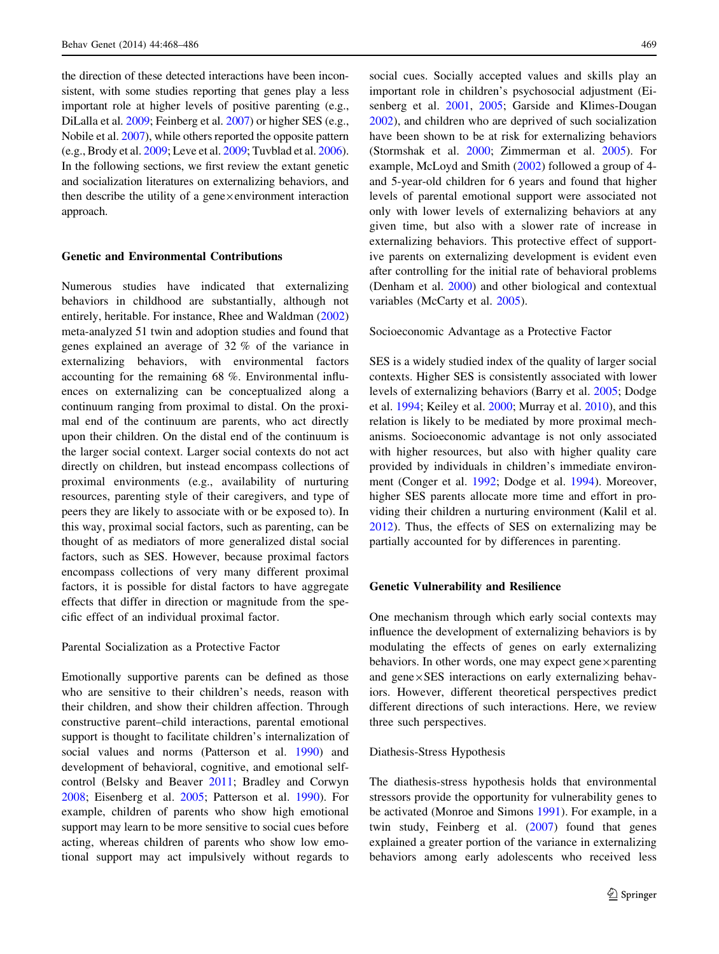the direction of these detected interactions have been inconsistent, with some studies reporting that genes play a less important role at higher levels of positive parenting (e.g., DiLalla et al. [2009](#page-17-0); Feinberg et al. [2007\)](#page-17-0) or higher SES (e.g., Nobile et al. [2007](#page-18-0)), while others reported the opposite pattern (e.g., Brody et al. [2009;](#page-17-0) Leve et al. [2009;](#page-18-0) Tuvblad et al. [2006](#page-18-0)). In the following sections, we first review the extant genetic and socialization literatures on externalizing behaviors, and then describe the utility of a gene $\times$ environment interaction approach.

## Genetic and Environmental Contributions

Numerous studies have indicated that externalizing behaviors in childhood are substantially, although not entirely, heritable. For instance, Rhee and Waldman ([2002\)](#page-18-0) meta-analyzed 51 twin and adoption studies and found that genes explained an average of 32 % of the variance in externalizing behaviors, with environmental factors accounting for the remaining 68 %. Environmental influences on externalizing can be conceptualized along a continuum ranging from proximal to distal. On the proximal end of the continuum are parents, who act directly upon their children. On the distal end of the continuum is the larger social context. Larger social contexts do not act directly on children, but instead encompass collections of proximal environments (e.g., availability of nurturing resources, parenting style of their caregivers, and type of peers they are likely to associate with or be exposed to). In this way, proximal social factors, such as parenting, can be thought of as mediators of more generalized distal social factors, such as SES. However, because proximal factors encompass collections of very many different proximal factors, it is possible for distal factors to have aggregate effects that differ in direction or magnitude from the specific effect of an individual proximal factor.

## Parental Socialization as a Protective Factor

Emotionally supportive parents can be defined as those who are sensitive to their children's needs, reason with their children, and show their children affection. Through constructive parent–child interactions, parental emotional support is thought to facilitate children's internalization of social values and norms (Patterson et al. [1990\)](#page-18-0) and development of behavioral, cognitive, and emotional selfcontrol (Belsky and Beaver [2011](#page-17-0); Bradley and Corwyn [2008;](#page-17-0) Eisenberg et al. [2005](#page-17-0); Patterson et al. [1990\)](#page-18-0). For example, children of parents who show high emotional support may learn to be more sensitive to social cues before acting, whereas children of parents who show low emotional support may act impulsively without regards to social cues. Socially accepted values and skills play an important role in children's psychosocial adjustment (Eisenberg et al. [2001](#page-17-0), [2005;](#page-17-0) Garside and Klimes-Dougan [2002](#page-17-0)), and children who are deprived of such socialization have been shown to be at risk for externalizing behaviors (Stormshak et al. [2000](#page-18-0); Zimmerman et al. [2005\)](#page-18-0). For example, McLoyd and Smith ([2002\)](#page-18-0) followed a group of 4 and 5-year-old children for 6 years and found that higher levels of parental emotional support were associated not only with lower levels of externalizing behaviors at any given time, but also with a slower rate of increase in externalizing behaviors. This protective effect of supportive parents on externalizing development is evident even after controlling for the initial rate of behavioral problems (Denham et al. [2000](#page-17-0)) and other biological and contextual variables (McCarty et al. [2005](#page-18-0)).

#### Socioeconomic Advantage as a Protective Factor

SES is a widely studied index of the quality of larger social contexts. Higher SES is consistently associated with lower levels of externalizing behaviors (Barry et al. [2005;](#page-17-0) Dodge et al. [1994](#page-17-0); Keiley et al. [2000;](#page-18-0) Murray et al. [2010\)](#page-18-0), and this relation is likely to be mediated by more proximal mechanisms. Socioeconomic advantage is not only associated with higher resources, but also with higher quality care provided by individuals in children's immediate environment (Conger et al. [1992](#page-17-0); Dodge et al. [1994\)](#page-17-0). Moreover, higher SES parents allocate more time and effort in providing their children a nurturing environment (Kalil et al. [2012](#page-18-0)). Thus, the effects of SES on externalizing may be partially accounted for by differences in parenting.

#### Genetic Vulnerability and Resilience

One mechanism through which early social contexts may influence the development of externalizing behaviors is by modulating the effects of genes on early externalizing behaviors. In other words, one may expect gene $\times$  parenting and gene $\times$ SES interactions on early externalizing behaviors. However, different theoretical perspectives predict different directions of such interactions. Here, we review three such perspectives.

#### Diathesis-Stress Hypothesis

The diathesis-stress hypothesis holds that environmental stressors provide the opportunity for vulnerability genes to be activated (Monroe and Simons [1991\)](#page-18-0). For example, in a twin study, Feinberg et al. ([2007\)](#page-17-0) found that genes explained a greater portion of the variance in externalizing behaviors among early adolescents who received less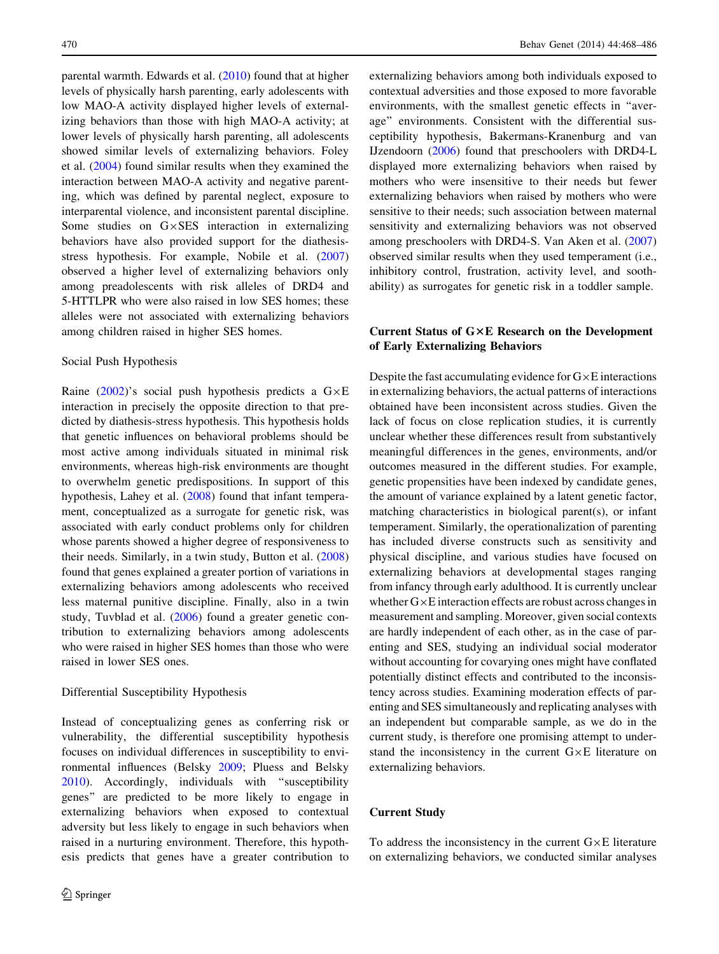parental warmth. Edwards et al. [\(2010](#page-17-0)) found that at higher levels of physically harsh parenting, early adolescents with low MAO-A activity displayed higher levels of externalizing behaviors than those with high MAO-A activity; at lower levels of physically harsh parenting, all adolescents showed similar levels of externalizing behaviors. Foley et al. [\(2004](#page-17-0)) found similar results when they examined the interaction between MAO-A activity and negative parenting, which was defined by parental neglect, exposure to interparental violence, and inconsistent parental discipline. Some studies on  $G \times SES$  interaction in externalizing behaviors have also provided support for the diathesis-stress hypothesis. For example, Nobile et al. ([2007\)](#page-18-0) observed a higher level of externalizing behaviors only among preadolescents with risk alleles of DRD4 and 5-HTTLPR who were also raised in low SES homes; these alleles were not associated with externalizing behaviors among children raised in higher SES homes.

#### Social Push Hypothesis

Raine [\(2002](#page-18-0))'s social push hypothesis predicts a  $G \times E$ interaction in precisely the opposite direction to that predicted by diathesis-stress hypothesis. This hypothesis holds that genetic influences on behavioral problems should be most active among individuals situated in minimal risk environments, whereas high-risk environments are thought to overwhelm genetic predispositions. In support of this hypothesis, Lahey et al. [\(2008](#page-18-0)) found that infant temperament, conceptualized as a surrogate for genetic risk, was associated with early conduct problems only for children whose parents showed a higher degree of responsiveness to their needs. Similarly, in a twin study, Button et al. ([2008\)](#page-17-0) found that genes explained a greater portion of variations in externalizing behaviors among adolescents who received less maternal punitive discipline. Finally, also in a twin study, Tuvblad et al. [\(2006](#page-18-0)) found a greater genetic contribution to externalizing behaviors among adolescents who were raised in higher SES homes than those who were raised in lower SES ones.

#### Differential Susceptibility Hypothesis

Instead of conceptualizing genes as conferring risk or vulnerability, the differential susceptibility hypothesis focuses on individual differences in susceptibility to environmental influences (Belsky [2009;](#page-17-0) Pluess and Belsky [2010\)](#page-18-0). Accordingly, individuals with ''susceptibility genes'' are predicted to be more likely to engage in externalizing behaviors when exposed to contextual adversity but less likely to engage in such behaviors when raised in a nurturing environment. Therefore, this hypothesis predicts that genes have a greater contribution to externalizing behaviors among both individuals exposed to contextual adversities and those exposed to more favorable environments, with the smallest genetic effects in ''average'' environments. Consistent with the differential susceptibility hypothesis, Bakermans-Kranenburg and van IJzendoorn [\(2006\)](#page-17-0) found that preschoolers with DRD4-L displayed more externalizing behaviors when raised by mothers who were insensitive to their needs but fewer externalizing behaviors when raised by mothers who were sensitive to their needs; such association between maternal sensitivity and externalizing behaviors was not observed among preschoolers with DRD4-S. Van Aken et al. ([2007\)](#page-18-0) observed similar results when they used temperament (i.e., inhibitory control, frustration, activity level, and soothability) as surrogates for genetic risk in a toddler sample.

# Current Status of G×E Research on the Development of Early Externalizing Behaviors

Despite the fast accumulating evidence for  $G \times E$  interactions in externalizing behaviors, the actual patterns of interactions obtained have been inconsistent across studies. Given the lack of focus on close replication studies, it is currently unclear whether these differences result from substantively meaningful differences in the genes, environments, and/or outcomes measured in the different studies. For example, genetic propensities have been indexed by candidate genes, the amount of variance explained by a latent genetic factor, matching characteristics in biological parent(s), or infant temperament. Similarly, the operationalization of parenting has included diverse constructs such as sensitivity and physical discipline, and various studies have focused on externalizing behaviors at developmental stages ranging from infancy through early adulthood. It is currently unclear whether  $G \times E$  interaction effects are robust across changes in measurement and sampling. Moreover, given social contexts are hardly independent of each other, as in the case of parenting and SES, studying an individual social moderator without accounting for covarying ones might have conflated potentially distinct effects and contributed to the inconsistency across studies. Examining moderation effects of parenting and SES simultaneously and replicating analyses with an independent but comparable sample, as we do in the current study, is therefore one promising attempt to understand the inconsistency in the current  $G \times E$  literature on externalizing behaviors.

## Current Study

To address the inconsistency in the current  $G \times E$  literature on externalizing behaviors, we conducted similar analyses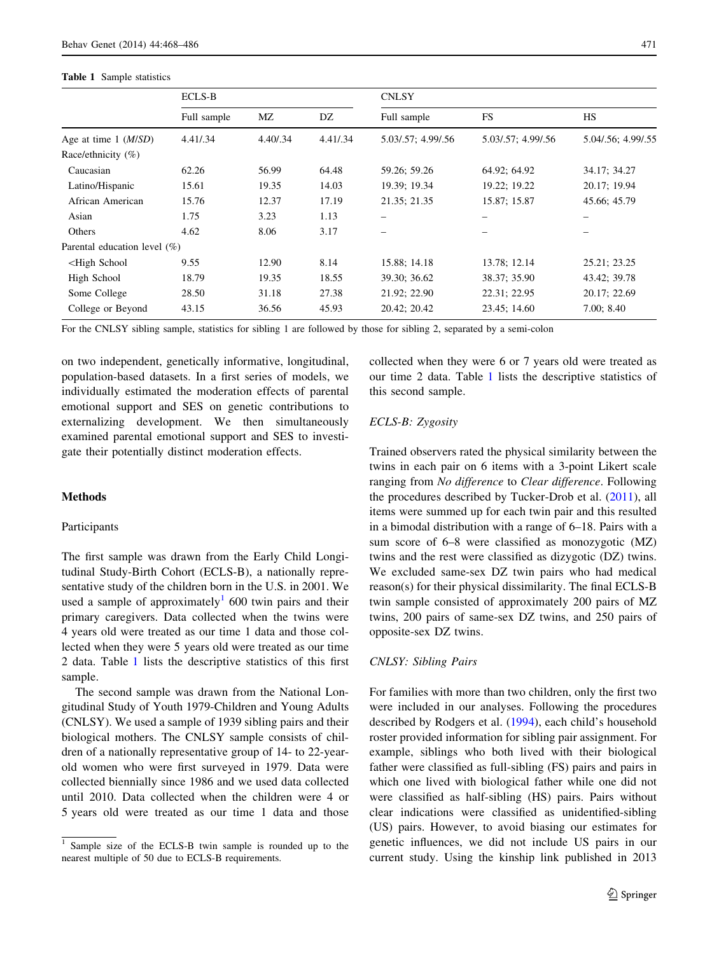#### Table 1 Sample statistics

|                                                                                                                                       | <b>ECLS-B</b> |          |          | <b>CNLSY</b>             |                    |                    |  |
|---------------------------------------------------------------------------------------------------------------------------------------|---------------|----------|----------|--------------------------|--------------------|--------------------|--|
|                                                                                                                                       | Full sample   | МZ       | DZ       | Full sample              | FS                 | <b>HS</b>          |  |
| Age at time $1 \ (M/SD)$                                                                                                              | 4.41/.34      | 4.40/.34 | 4.41/.34 | 5.03/.57; 4.99/.56       | 5.03/.57; 4.99/.56 | 5.04/.56; 4.99/.55 |  |
| Race/ethnicity $(\%)$                                                                                                                 |               |          |          |                          |                    |                    |  |
| Caucasian                                                                                                                             | 62.26         | 56.99    | 64.48    | 59.26; 59.26             | 64.92; 64.92       | 34.17; 34.27       |  |
| Latino/Hispanic                                                                                                                       | 15.61         | 19.35    | 14.03    | 19.39; 19.34             | 19.22; 19.22       | 20.17; 19.94       |  |
| African American                                                                                                                      | 15.76         | 12.37    | 17.19    | 21.35; 21.35             | 15.87; 15.87       | 45.66; 45.79       |  |
| Asian                                                                                                                                 | 1.75          | 3.23     | 1.13     | $\overline{\phantom{0}}$ |                    |                    |  |
| Others                                                                                                                                | 4.62          | 8.06     | 3.17     |                          |                    |                    |  |
| Parental education level (%)                                                                                                          |               |          |          |                          |                    |                    |  |
| <high school<="" td=""><td>9.55</td><td>12.90</td><td>8.14</td><td>15.88; 14.18</td><td>13.78; 12.14</td><td>25.21; 23.25</td></high> | 9.55          | 12.90    | 8.14     | 15.88; 14.18             | 13.78; 12.14       | 25.21; 23.25       |  |
| High School                                                                                                                           | 18.79         | 19.35    | 18.55    | 39.30; 36.62             | 38.37; 35.90       | 43.42; 39.78       |  |
| Some College                                                                                                                          | 28.50         | 31.18    | 27.38    | 21.92; 22.90             | 22.31; 22.95       | 20.17; 22.69       |  |
| College or Beyond                                                                                                                     | 43.15         | 36.56    | 45.93    | 20.42; 20.42             | 23.45; 14.60       | 7.00; 8.40         |  |

For the CNLSY sibling sample, statistics for sibling 1 are followed by those for sibling 2, separated by a semi-colon

on two independent, genetically informative, longitudinal, population-based datasets. In a first series of models, we individually estimated the moderation effects of parental emotional support and SES on genetic contributions to externalizing development. We then simultaneously examined parental emotional support and SES to investigate their potentially distinct moderation effects.

## Methods

## Participants

The first sample was drawn from the Early Child Longitudinal Study-Birth Cohort (ECLS-B), a nationally representative study of the children born in the U.S. in 2001. We used a sample of approximately<sup>1</sup> 600 twin pairs and their primary caregivers. Data collected when the twins were 4 years old were treated as our time 1 data and those collected when they were 5 years old were treated as our time 2 data. Table 1 lists the descriptive statistics of this first sample.

The second sample was drawn from the National Longitudinal Study of Youth 1979-Children and Young Adults (CNLSY). We used a sample of 1939 sibling pairs and their biological mothers. The CNLSY sample consists of children of a nationally representative group of 14- to 22-yearold women who were first surveyed in 1979. Data were collected biennially since 1986 and we used data collected until 2010. Data collected when the children were 4 or 5 years old were treated as our time 1 data and those

collected when they were 6 or 7 years old were treated as our time 2 data. Table 1 lists the descriptive statistics of this second sample.

# ECLS-B: Zygosity

Trained observers rated the physical similarity between the twins in each pair on 6 items with a 3-point Likert scale ranging from No difference to Clear difference. Following the procedures described by Tucker-Drob et al. [\(2011](#page-18-0)), all items were summed up for each twin pair and this resulted in a bimodal distribution with a range of 6–18. Pairs with a sum score of 6–8 were classified as monozygotic (MZ) twins and the rest were classified as dizygotic (DZ) twins. We excluded same-sex DZ twin pairs who had medical reason(s) for their physical dissimilarity. The final ECLS-B twin sample consisted of approximately 200 pairs of MZ twins, 200 pairs of same-sex DZ twins, and 250 pairs of opposite-sex DZ twins.

## CNLSY: Sibling Pairs

For families with more than two children, only the first two were included in our analyses. Following the procedures described by Rodgers et al. ([1994\)](#page-18-0), each child's household roster provided information for sibling pair assignment. For example, siblings who both lived with their biological father were classified as full-sibling (FS) pairs and pairs in which one lived with biological father while one did not were classified as half-sibling (HS) pairs. Pairs without clear indications were classified as unidentified-sibling (US) pairs. However, to avoid biasing our estimates for genetic influences, we did not include US pairs in our current study. Using the kinship link published in 2013

Sample size of the ECLS-B twin sample is rounded up to the nearest multiple of 50 due to ECLS-B requirements.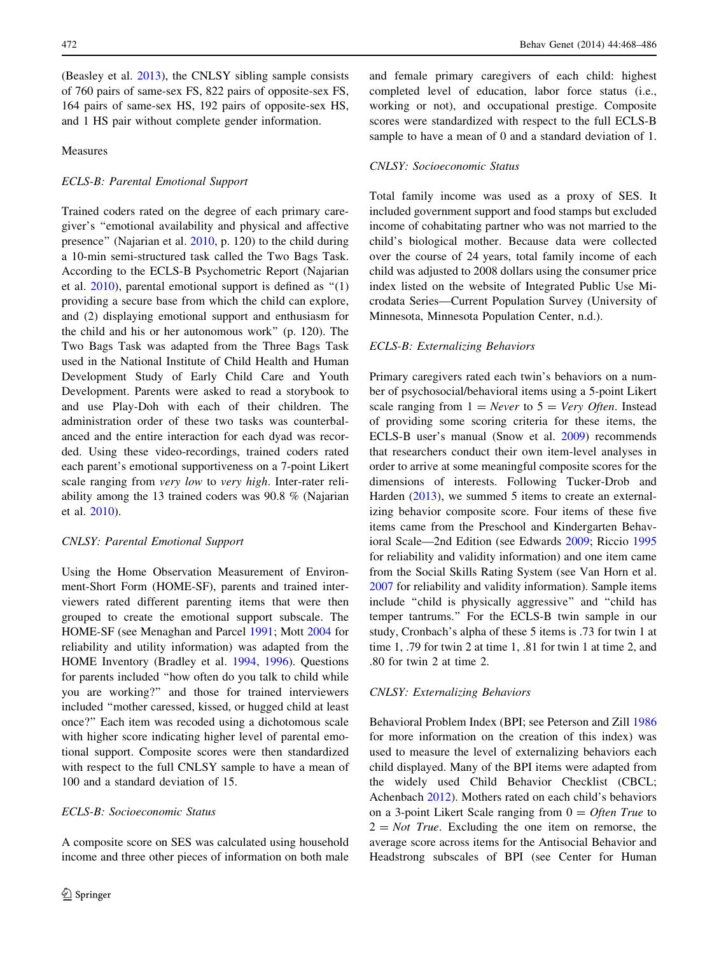(Beasley et al. [2013\)](#page-17-0), the CNLSY sibling sample consists of 760 pairs of same-sex FS, 822 pairs of opposite-sex FS, 164 pairs of same-sex HS, 192 pairs of opposite-sex HS, and 1 HS pair without complete gender information.

# Measures

#### ECLS-B: Parental Emotional Support

Trained coders rated on the degree of each primary caregiver's ''emotional availability and physical and affective presence'' (Najarian et al. [2010,](#page-18-0) p. 120) to the child during a 10-min semi-structured task called the Two Bags Task. According to the ECLS-B Psychometric Report (Najarian et al.  $2010$ ), parental emotional support is defined as " $(1)$ " providing a secure base from which the child can explore, and (2) displaying emotional support and enthusiasm for the child and his or her autonomous work'' (p. 120). The Two Bags Task was adapted from the Three Bags Task used in the National Institute of Child Health and Human Development Study of Early Child Care and Youth Development. Parents were asked to read a storybook to and use Play-Doh with each of their children. The administration order of these two tasks was counterbalanced and the entire interaction for each dyad was recorded. Using these video-recordings, trained coders rated each parent's emotional supportiveness on a 7-point Likert scale ranging from *very low* to *very high*. Inter-rater reliability among the 13 trained coders was 90.8 % (Najarian et al. [2010\)](#page-18-0).

## CNLSY: Parental Emotional Support

Using the Home Observation Measurement of Environment-Short Form (HOME-SF), parents and trained interviewers rated different parenting items that were then grouped to create the emotional support subscale. The HOME-SF (see Menaghan and Parcel [1991;](#page-18-0) Mott [2004](#page-18-0) for reliability and utility information) was adapted from the HOME Inventory (Bradley et al. [1994](#page-17-0), [1996](#page-17-0)). Questions for parents included ''how often do you talk to child while you are working?'' and those for trained interviewers included ''mother caressed, kissed, or hugged child at least once?'' Each item was recoded using a dichotomous scale with higher score indicating higher level of parental emotional support. Composite scores were then standardized with respect to the full CNLSY sample to have a mean of 100 and a standard deviation of 15.

# ECLS-B: Socioeconomic Status

A composite score on SES was calculated using household income and three other pieces of information on both male

and female primary caregivers of each child: highest completed level of education, labor force status (i.e., working or not), and occupational prestige. Composite scores were standardized with respect to the full ECLS-B sample to have a mean of 0 and a standard deviation of 1.

# CNLSY: Socioeconomic Status

Total family income was used as a proxy of SES. It included government support and food stamps but excluded income of cohabitating partner who was not married to the child's biological mother. Because data were collected over the course of 24 years, total family income of each child was adjusted to 2008 dollars using the consumer price index listed on the website of Integrated Public Use Microdata Series—Current Population Survey (University of Minnesota, Minnesota Population Center, n.d.).

#### ECLS-B: Externalizing Behaviors

Primary caregivers rated each twin's behaviors on a number of psychosocial/behavioral items using a 5-point Likert scale ranging from  $1 = Never$  to  $5 = Very$  Often. Instead of providing some scoring criteria for these items, the ECLS-B user's manual (Snow et al. [2009](#page-18-0)) recommends that researchers conduct their own item-level analyses in order to arrive at some meaningful composite scores for the dimensions of interests. Following Tucker-Drob and Harden [\(2013](#page-18-0)), we summed 5 items to create an externalizing behavior composite score. Four items of these five items came from the Preschool and Kindergarten Behavioral Scale—2nd Edition (see Edwards [2009;](#page-17-0) Riccio [1995](#page-18-0) for reliability and validity information) and one item came from the Social Skills Rating System (see Van Horn et al. [2007](#page-18-0) for reliability and validity information). Sample items include ''child is physically aggressive'' and ''child has temper tantrums.'' For the ECLS-B twin sample in our study, Cronbach's alpha of these 5 items is .73 for twin 1 at time 1, .79 for twin 2 at time 1, .81 for twin 1 at time 2, and .80 for twin 2 at time 2.

#### CNLSY: Externalizing Behaviors

Behavioral Problem Index (BPI; see Peterson and Zill [1986](#page-18-0) for more information on the creation of this index) was used to measure the level of externalizing behaviors each child displayed. Many of the BPI items were adapted from the widely used Child Behavior Checklist (CBCL; Achenbach [2012\)](#page-17-0). Mothers rated on each child's behaviors on a 3-point Likert Scale ranging from  $0 =$  *Often True* to  $2 = Not$  True. Excluding the one item on remorse, the average score across items for the Antisocial Behavior and Headstrong subscales of BPI (see Center for Human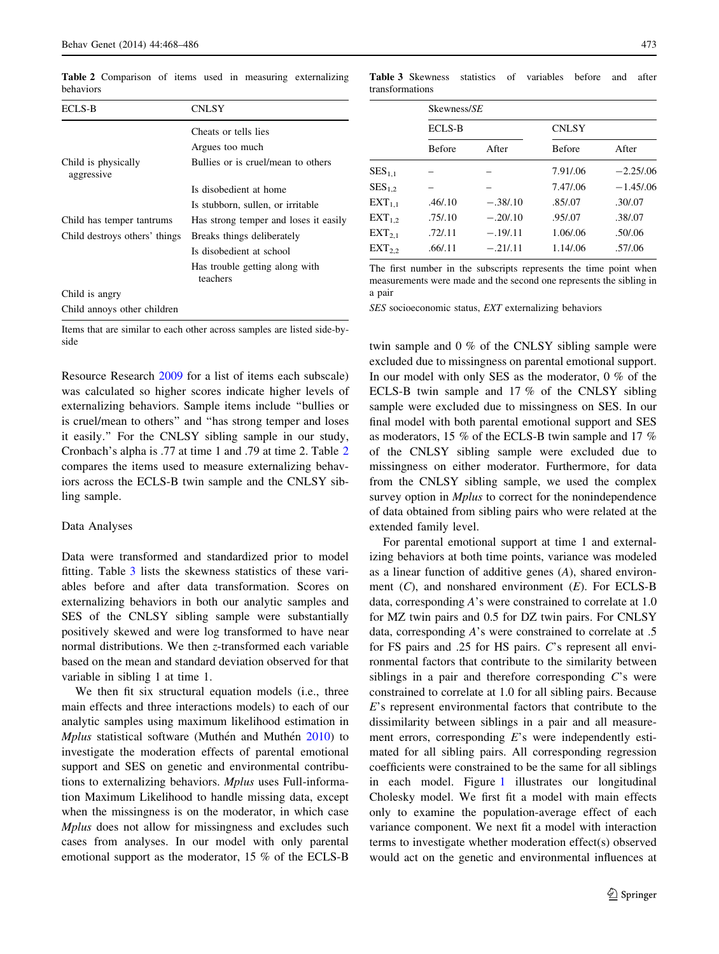ECLS-B CNLSY Cheats or tells lies Argues too much Child is physically aggressive Bullies or is cruel/mean to others Is disobedient at home Is stubborn, sullen, or irritable Child has temper tantrums Has strong temper and loses it easily Child destroys others' things Breaks things deliberately Is disobedient at school Has trouble getting along with teachers Child is angry Child annoys other children

Table 2 Comparison of items used in measuring externalizing behaviors

Items that are similar to each other across samples are listed side-byside

Resource Research [2009](#page-17-0) for a list of items each subscale) was calculated so higher scores indicate higher levels of externalizing behaviors. Sample items include ''bullies or is cruel/mean to others'' and ''has strong temper and loses it easily.'' For the CNLSY sibling sample in our study, Cronbach's alpha is .77 at time 1 and .79 at time 2. Table 2 compares the items used to measure externalizing behaviors across the ECLS-B twin sample and the CNLSY sibling sample.

#### Data Analyses

Data were transformed and standardized prior to model fitting. Table 3 lists the skewness statistics of these variables before and after data transformation. Scores on externalizing behaviors in both our analytic samples and SES of the CNLSY sibling sample were substantially positively skewed and were log transformed to have near normal distributions. We then z-transformed each variable based on the mean and standard deviation observed for that variable in sibling 1 at time 1.

We then fit six structural equation models (i.e., three main effects and three interactions models) to each of our analytic samples using maximum likelihood estimation in Mplus statistical software (Muthén and Muthén [2010\)](#page-18-0) to investigate the moderation effects of parental emotional support and SES on genetic and environmental contributions to externalizing behaviors. Mplus uses Full-information Maximum Likelihood to handle missing data, except when the missingness is on the moderator, in which case Mplus does not allow for missingness and excludes such cases from analyses. In our model with only parental emotional support as the moderator, 15 % of the ECLS-B

Table 3 Skewness statistics of variables before and after transformations

|                   | Skewness/SE   |             |               |              |  |  |  |  |
|-------------------|---------------|-------------|---------------|--------------|--|--|--|--|
|                   | <b>ECLS-B</b> |             | <b>CNLSY</b>  |              |  |  |  |  |
|                   | <b>Before</b> | After       | <b>Before</b> | After        |  |  |  |  |
| ${\rm SES}_{1.1}$ |               |             | 7.91/.06      | $-2.25/0.06$ |  |  |  |  |
| $SES_{1.2}$       |               |             | 7.47/.06      | $-1.45/0.06$ |  |  |  |  |
| $EXT_{1.1}$       | .46/0.10      | $-.38/.10$  | .85/.07       | .30/0.07     |  |  |  |  |
| $EXT_1$           | .75/0.10      | $-.20/0.10$ | .95/.07       | .38/.07      |  |  |  |  |
| $EXT_{2,1}$       | .72/.11       | $-.19/.11$  | 1.06/.06      | .50/0.06     |  |  |  |  |
| $EXT_2$           | .66/.11       | $-.21/.11$  | 1.14/.06      | .57/.06      |  |  |  |  |
|                   |               |             |               |              |  |  |  |  |

The first number in the subscripts represents the time point when measurements were made and the second one represents the sibling in a pair

SES socioeconomic status, EXT externalizing behaviors

twin sample and 0 % of the CNLSY sibling sample were excluded due to missingness on parental emotional support. In our model with only SES as the moderator, 0 % of the ECLS-B twin sample and 17 % of the CNLSY sibling sample were excluded due to missingness on SES. In our final model with both parental emotional support and SES as moderators, 15 % of the ECLS-B twin sample and 17 % of the CNLSY sibling sample were excluded due to missingness on either moderator. Furthermore, for data from the CNLSY sibling sample, we used the complex survey option in *Mplus* to correct for the nonindependence of data obtained from sibling pairs who were related at the extended family level.

For parental emotional support at time 1 and externalizing behaviors at both time points, variance was modeled as a linear function of additive genes (A), shared environment  $(C)$ , and nonshared environment  $(E)$ . For ECLS-B data, corresponding A's were constrained to correlate at 1.0 for MZ twin pairs and 0.5 for DZ twin pairs. For CNLSY data, corresponding A's were constrained to correlate at .5 for FS pairs and .25 for HS pairs. C's represent all environmental factors that contribute to the similarity between siblings in a pair and therefore corresponding  $C$ 's were constrained to correlate at 1.0 for all sibling pairs. Because E's represent environmental factors that contribute to the dissimilarity between siblings in a pair and all measurement errors, corresponding E's were independently estimated for all sibling pairs. All corresponding regression coefficients were constrained to be the same for all siblings in each model. Figure [1](#page-6-0) illustrates our longitudinal Cholesky model. We first fit a model with main effects only to examine the population-average effect of each variance component. We next fit a model with interaction terms to investigate whether moderation effect(s) observed would act on the genetic and environmental influences at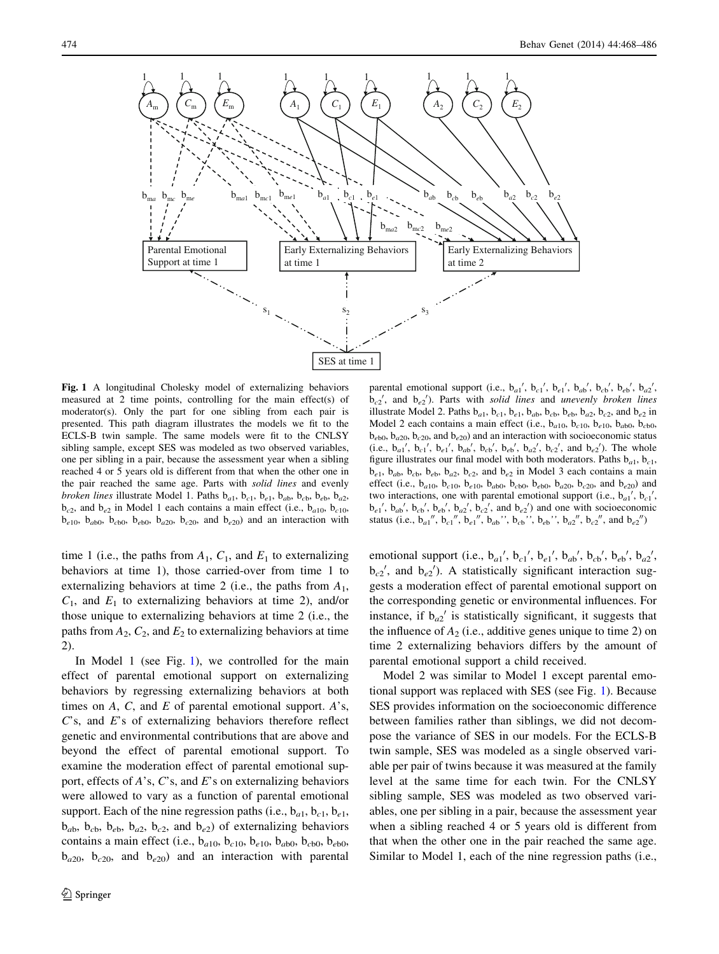<span id="page-6-0"></span>

Fig. 1 A longitudinal Cholesky model of externalizing behaviors measured at 2 time points, controlling for the main effect(s) of moderator(s). Only the part for one sibling from each pair is presented. This path diagram illustrates the models we fit to the ECLS-B twin sample. The same models were fit to the CNLSY sibling sample, except SES was modeled as two observed variables, one per sibling in a pair, because the assessment year when a sibling reached 4 or 5 years old is different from that when the other one in the pair reached the same age. Parts with solid lines and evenly *broken lines* illustrate Model 1. Paths  $b_{a1}$ ,  $b_{c1}$ ,  $b_{e1}$ ,  $b_{ab}$ ,  $b_{cb}$ ,  $b_{b2}$ ,  $b_{a2}$ ,  $b_{c2}$ , and  $b_{e2}$  in Model 1 each contains a main effect (i.e.,  $b_{a10}$ ,  $b_{c10}$ ,  $b_{e10}$ ,  $b_{ab0}$ ,  $b_{cb0}$ ,  $b_{eb0}$ ,  $b_{a20}$ ,  $b_{c20}$ , and  $b_{e20}$ ) and an interaction with

time 1 (i.e., the paths from  $A_1$ ,  $C_1$ , and  $E_1$  to externalizing behaviors at time 1), those carried-over from time 1 to externalizing behaviors at time 2 (i.e., the paths from  $A_1$ ,  $C_1$ , and  $E_1$  to externalizing behaviors at time 2), and/or those unique to externalizing behaviors at time 2 (i.e., the paths from  $A_2$ ,  $C_2$ , and  $E_2$  to externalizing behaviors at time 2).

In Model 1 (see Fig. 1), we controlled for the main effect of parental emotional support on externalizing behaviors by regressing externalizing behaviors at both times on  $A$ ,  $C$ , and  $E$  of parental emotional support.  $A$ 's, C's, and E's of externalizing behaviors therefore reflect genetic and environmental contributions that are above and beyond the effect of parental emotional support. To examine the moderation effect of parental emotional support, effects of  $A$ 's,  $C$ 's, and  $E$ 's on externalizing behaviors were allowed to vary as a function of parental emotional support. Each of the nine regression paths (i.e.,  $b_{a1}$ ,  $b_{c1}$ ,  $b_{e1}$ ,  $b_{ab}$ ,  $b_{cb}$ ,  $b_{e}$ ,  $b_{a2}$ ,  $b_{c2}$ , and  $b_{e2}$ ) of externalizing behaviors contains a main effect (i.e.,  $b_{a10}$ ,  $b_{c10}$ ,  $b_{e10}$ ,  $b_{ab0}$ ,  $b_{cb0}$ ,  $b_{eb0}$ ,  $b_{a20}$ ,  $b_{c20}$ , and  $b_{e20}$ ) and an interaction with parental

parental emotional support (i.e.,  $b_{a1}$ ',  $b_{c1}$ ',  $b_{e1}$ ',  $b_{ab}$ ',  $b_{cb}$ ',  $b_{eb}$ ',  $b_{a2}$ ',  $b_{c2}$ <sup>'</sup>, and  $b_{e2}$ <sup>'</sup>). Parts with solid lines and unevenly broken lines illustrate Model 2. Paths  $b_{a1}$ ,  $b_{c1}$ ,  $b_{e1}$ ,  $b_{ab}$ ,  $b_{cb}$ ,  $b_{eb}$ ,  $b_{a2}$ ,  $b_{c2}$ , and  $b_{e2}$  in Model 2 each contains a main effect (i.e.,  $b_{a10}$ ,  $b_{c10}$ ,  $b_{e10}$ ,  $b_{ab0}$ ,  $b_{cb0}$ ,  $b_{e0}$ ,  $b_{a20}$ ,  $b_{c20}$ , and  $b_{e20}$ ) and an interaction with socioeconomic status (i.e.,  $b_{a1}$ ',  $b_{c1}$ ',  $b_{e1}$ ',  $b_{ab}$ ',  $b_{cb}$ ',  $b_{eb}$ ',  $b_{a2}$ ',  $b_{c2}$ ', and  $b_{e2}$ '). The whole figure illustrates our final model with both moderators. Paths  $b_{a1}$ ,  $b_{c1}$ ,  $b_{e1}$ ,  $b_{ab}$ ,  $b_{cb}$ ,  $b_{e2}$ ,  $b_{c2}$ ,  $b_{c2}$ , and  $b_{e2}$  in Model 3 each contains a main effect (i.e.,  $b_{a10}$ ,  $b_{c10}$ ,  $b_{e10}$ ,  $b_{a00}$ ,  $b_{c00}$ ,  $b_{e00}$ ,  $b_{a20}$ ,  $b_{c20}$ , and  $b_{e20}$ ) and two interactions, one with parental emotional support (i.e.,  $b_{a1}$ <sup>'</sup>,  $b_{c1}$ <sup>'</sup>,  $b_{e1}$ ,  $b_{ab}$ ,  $b_{cb}$ ,  $b_{eb}$ ,  $b_{a2}$ ,  $b_{c2}$ , and  $b_{e2}$ ) and one with socioeconomic status (i.e.,  $b_{a1}''$ ,  $b_{c1}''$ ,  $b_{e1}''$ ,  $b_{ab}''$ ,  $b_{cb}''$ ,  $b_{eb}''$ ,  $b_{a2}''$ ,  $b_{c2}''$ , and  $b_{e2}''$ )

emotional support (i.e.,  $b_{a1}$ ',  $b_{c1}$ ',  $b_{e1}$ ',  $b_{ab}$ ',  $b_{cb}$ ',  $b_{eb}$ ',  $b_{a2}$ ',  $b_{c2}$ <sup>'</sup>, and  $b_{e2}$ <sup>'</sup>). A statistically significant interaction suggests a moderation effect of parental emotional support on the corresponding genetic or environmental influences. For instance, if  $b_{a2}$ ' is statistically significant, it suggests that the influence of  $A_2$  (i.e., additive genes unique to time 2) on time 2 externalizing behaviors differs by the amount of parental emotional support a child received.

Model 2 was similar to Model 1 except parental emotional support was replaced with SES (see Fig. 1). Because SES provides information on the socioeconomic difference between families rather than siblings, we did not decompose the variance of SES in our models. For the ECLS-B twin sample, SES was modeled as a single observed variable per pair of twins because it was measured at the family level at the same time for each twin. For the CNLSY sibling sample, SES was modeled as two observed variables, one per sibling in a pair, because the assessment year when a sibling reached 4 or 5 years old is different from that when the other one in the pair reached the same age. Similar to Model 1, each of the nine regression paths (i.e.,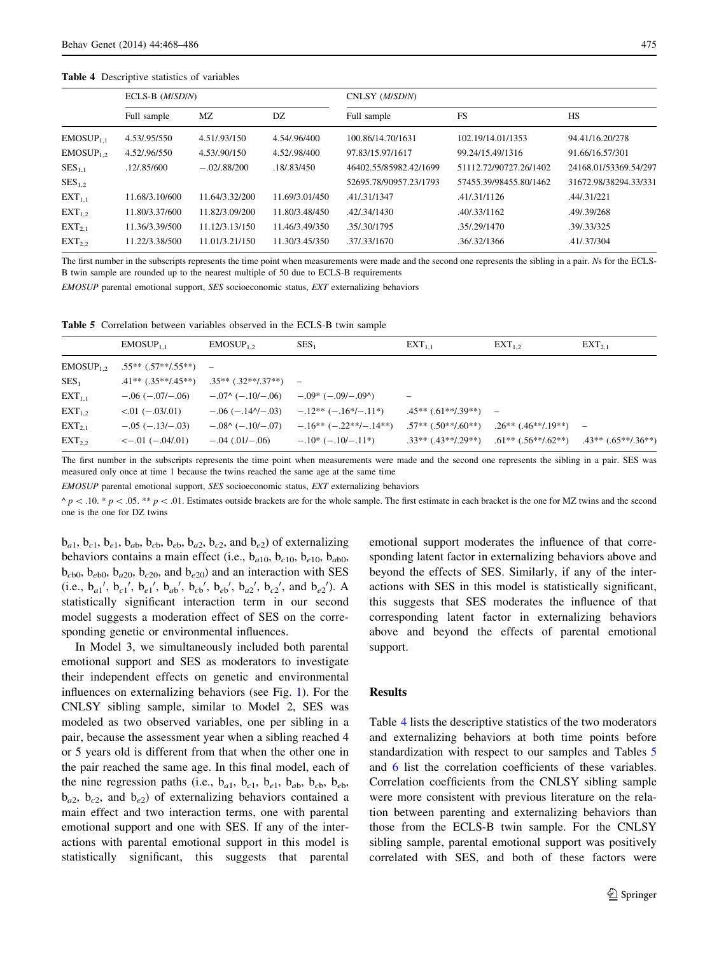#### Table 4 Descriptive statistics of variables

|                | ECLS-B (M/SD/N) |                 |                | CNLSY (M/SD/N)         |                        |                       |  |  |
|----------------|-----------------|-----------------|----------------|------------------------|------------------------|-----------------------|--|--|
|                | Full sample     | MZ              | DZ             | Full sample            | <b>FS</b>              | <b>HS</b>             |  |  |
| $EMOSUP_{1.1}$ | 4.53/.95/550    | 4.51/.93/150    | 4.54/.96/400   | 100.86/14.70/1631      | 102.19/14.01/1353      | 94.41/16.20/278       |  |  |
| $EMOSUP_1$ ,   | 4.52/.96/550    | 4.53/.90/150    | 4.52/.98/400   | 97.83/15.97/1617       | 99.24/15.49/1316       | 91.66/16.57/301       |  |  |
| $SES_{1,1}$    | .12/0.85/600    | $-.02/0.88/200$ | .18/.83/450    | 46402.55/85982.42/1699 | 51112.72/90727.26/1402 | 24168.01/53369.54/297 |  |  |
| $SES_{1,2}$    |                 |                 |                | 52695.78/90957.23/1793 | 57455.39/98455.80/1462 | 31672.98/38294.33/331 |  |  |
| $EXT_{1,1}$    | 11.68/3.10/600  | 11.64/3.32/200  | 11.69/3.01/450 | .41/.31/1347           | .41/.31/1126           | .44/.31/221           |  |  |
| $EXT_{1,2}$    | 11.80/3.37/600  | 11.82/3.09/200  | 11.80/3.48/450 | .42/.34/1430           | .40/.33/1162           | .49/.39/268           |  |  |
| $EXT_{2,1}$    | 11.36/3.39/500  | 11.12/3.13/150  | 11.46/3.49/350 | .35/.30/1795           | .35/.29/1470           | .39/.33/325           |  |  |
| $EXT_{22}$     | 11.22/3.38/500  | 11.01/3.21/150  | 11.30/3.45/350 | .37/.33/1670           | .36/.32/1366           | .41/.37/304           |  |  |

The first number in the subscripts represents the time point when measurements were made and the second one represents the sibling in a pair. Ns for the ECLS-B twin sample are rounded up to the nearest multiple of 50 due to ECLS-B requirements

EMOSUP parental emotional support, SES socioeconomic status, EXT externalizing behaviors

Table 5 Correlation between variables observed in the ECLS-B twin sample

|                  | $EMOSUP_{1.1}$          | EMOSUP <sub>1.2</sub>                                   | SES <sub>1</sub>        | $EXT_{1.1}$          | $EXT_{1,2}$                                                 | $EXT_{2.1}$ |
|------------------|-------------------------|---------------------------------------------------------|-------------------------|----------------------|-------------------------------------------------------------|-------------|
| $EMOSUP_{1,2}$   | $.55**(.57**/.55**)$ -  |                                                         |                         |                      |                                                             |             |
| SES <sub>1</sub> |                         | $.41**(.35**/.45**)$ $.35**(.32**/.37**)$ -             |                         |                      |                                                             |             |
| $EXT_{1,1}$      | $-.06(-.07/-.06)$       | $-.07^{\wedge}(-.10/-.06)$                              | $-.09^*(-.09/-.090)$    |                      |                                                             |             |
| $EXT_{1,2}$      | $< 01 (-03/01)$         | $-.06$ ( $-.14$ <sup><math>\gamma</math></sup> $-.03$ ) | $-12**(-16*/-11*)$      | $.45**(.61**/.39**)$ |                                                             |             |
| $EXT_{2,1}$      | $-.05(-13/-03)$         | $-0.08(6 - 0.10) - 0.07$                                | $-.16**(-.22**/-.14**)$ |                      | $.57**$ $(.50**/.60**)$ $.26**$ $(.46**/.19**)$             |             |
| $EXT_{2,2}$      | $\leq -0.01 (-0.04/01)$ | $-.04(.01/-.06)$                                        | $-10^* (-10/-11^*)$     | $.33**(.43**/.29**)$ | $.61^{**}(.56^{**}/.62^{**})$ $.43^{**}(.65^{**}/.36^{**})$ |             |

The first number in the subscripts represents the time point when measurements were made and the second one represents the sibling in a pair. SES was measured only once at time 1 because the twins reached the same age at the same time

EMOSUP parental emotional support, SES socioeconomic status, EXT externalizing behaviors

 $\wedge p$  < .05. \*\* p < .05. \*\* p < .01. Estimates outside brackets are for the whole sample. The first estimate in each bracket is the one for MZ twins and the second one is the one for DZ twins

 $b_{a1}$ ,  $b_{c1}$ ,  $b_{e1}$ ,  $b_{ab}$ ,  $b_{cb}$ ,  $b_{eb}$ ,  $b_{a2}$ ,  $b_{c2}$ , and  $b_{e2}$ ) of externalizing behaviors contains a main effect (i.e.,  $b_{a10}$ ,  $b_{c10}$ ,  $b_{e10}$ ,  $b_{ab0}$ ,  $b_{c0}$ ,  $b_{e0}$ ,  $b_{a20}$ ,  $b_{c20}$ , and  $b_{e20}$ ) and an interaction with SES (i.e.,  $b_{a1}$ ',  $b_{c1}$ ',  $b_{e1}$ ',  $b_{ab}$ ',  $b_{cb}$ ',  $b_{eb}$ ',  $b_{a2}$ ',  $b_{c2}$ ', and  $b_{e2}$ '). A statistically significant interaction term in our second model suggests a moderation effect of SES on the corresponding genetic or environmental influences.

In Model 3, we simultaneously included both parental emotional support and SES as moderators to investigate their independent effects on genetic and environmental influences on externalizing behaviors (see Fig. [1](#page-6-0)). For the CNLSY sibling sample, similar to Model 2, SES was modeled as two observed variables, one per sibling in a pair, because the assessment year when a sibling reached 4 or 5 years old is different from that when the other one in the pair reached the same age. In this final model, each of the nine regression paths (i.e.,  $b_{a1}$ ,  $b_{c1}$ ,  $b_{e1}$ ,  $b_{ab}$ ,  $b_{cb}$ ,  $b_{eb}$ ,  $b_{q2}$ ,  $b_{q2}$ , and  $b_{q2}$ ) of externalizing behaviors contained a main effect and two interaction terms, one with parental emotional support and one with SES. If any of the interactions with parental emotional support in this model is statistically significant, this suggests that parental emotional support moderates the influence of that corresponding latent factor in externalizing behaviors above and beyond the effects of SES. Similarly, if any of the interactions with SES in this model is statistically significant, this suggests that SES moderates the influence of that corresponding latent factor in externalizing behaviors above and beyond the effects of parental emotional support.

#### Results

Table 4 lists the descriptive statistics of the two moderators and externalizing behaviors at both time points before standardization with respect to our samples and Tables 5 and [6](#page-8-0) list the correlation coefficients of these variables. Correlation coefficients from the CNLSY sibling sample were more consistent with previous literature on the relation between parenting and externalizing behaviors than those from the ECLS-B twin sample. For the CNLSY sibling sample, parental emotional support was positively correlated with SES, and both of these factors were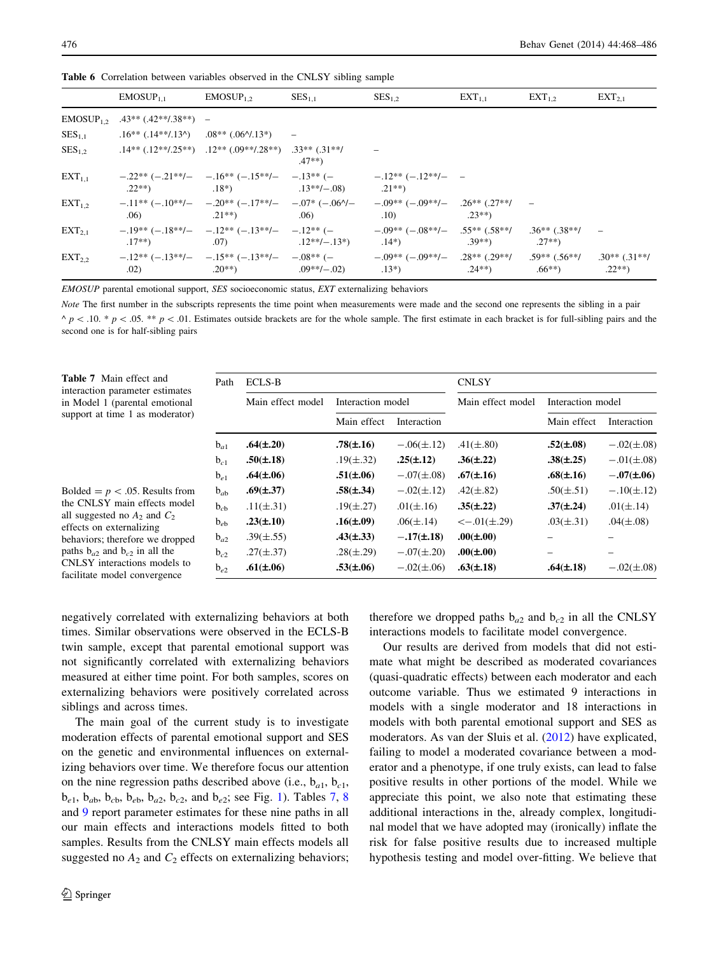|                       | $EMOSUP_{11}$          | $EMOSUP_1$                                               | $SES_{1,1}$          | $SES_{1,2}$                                                                                                                            | $EXT_{1,1}$     | $EXT_{1,2}$                            | $EXT_{2,1}$                  |
|-----------------------|------------------------|----------------------------------------------------------|----------------------|----------------------------------------------------------------------------------------------------------------------------------------|-----------------|----------------------------------------|------------------------------|
| EMOSUP <sub>1.2</sub> | $.43**(.42**/.38**) =$ |                                                          |                      |                                                                                                                                        |                 |                                        |                              |
| $SES_{1,1}$           |                        | $.16**(.14**/.13*)$ $.08**(.06*/.13*)$ -                 |                      |                                                                                                                                        |                 |                                        |                              |
| $SES_{1,2}$           |                        | $.14**(.12**/.25**)$ $.12**(.09**/.28**)$ $.33**(.31**/$ | $.47**$              |                                                                                                                                        |                 |                                        |                              |
| $EXT_{1.1}$           |                        | $.22^{**}$ $.13^{**}$ $-.08$ $.21^{**}$                  |                      | $-22**(-21**/- -16**(-15**/- -13**/– -13**(-$                                                                                          |                 |                                        |                              |
| $EXT_{1.2}$           | .06)                   | $.21***$ .06)                                            |                      | $-11^{**}$ ( $-10^{**}$ ) $-20^{**}$ ( $-17^{**}$ ) $-07^{*}$ ( $-06$ ) $-09^{**}$ ( $-09^{**}$ ) $-26^{**}$ ( $27^{**}$ ) $-$<br>(10) | $.23**$         |                                        |                              |
| $EXT_{21}$            | $.17**$                | $-19**(-18**/- -12**(-13**/- -12**(-$                    | $.07)$ $.12**/-.13*$ | $-0.09**(-0.08**/- 0.55**(-0.58**/))$<br>$(14^*)$                                                                                      | $.39**$ $.27**$ | $.36**$ (.38**/                        |                              |
| $EXT_{2,2}$           | .02)                   | $.20^{**}$ )                                             | $.09**/-.02$         | $-12^{**}$ (-13**/- -15** (-13**/- -08** (- -09** (-09**/- 28** (29**/<br>$.13*)$                                                      |                 | $.59***$ (.56**/<br>$.24***$ . $.66**$ | $.30**$ (.31**/<br>$.22**$ ) |

<span id="page-8-0"></span>Table 6 Correlation between variables observed in the CNLSY sibling sample

EMOSUP parental emotional support, SES socioeconomic status, EXT externalizing behaviors

Note The first number in the subscripts represents the time point when measurements were made and the second one represents the sibling in a pair  $\land$  p < .10. \* p < .05. \*\* p < .01. Estimates outside brackets are for the whole sample. The first estimate in each bracket is for full-sibling pairs and the second one is for half-sibling pairs

| <b>Table 7</b> Main effect and<br>interaction parameter estimates                                                                         | Path     | <b>ECLS-B</b>     |                   |                | <b>CNLSY</b>              |                   |                |
|-------------------------------------------------------------------------------------------------------------------------------------------|----------|-------------------|-------------------|----------------|---------------------------|-------------------|----------------|
| in Model 1 (parental emotional                                                                                                            |          | Main effect model | Interaction model |                | Main effect model         | Interaction model |                |
| support at time 1 as moderator)                                                                                                           |          |                   | Main effect       | Interaction    |                           | Main effect       | Interaction    |
|                                                                                                                                           | $b_{a1}$ | $.64(\pm.20)$     | $.78(\pm.16)$     | $-.06(\pm.12)$ | $.41(\pm.80)$             | $.52(\pm.08)$     | $-.02(\pm.08)$ |
|                                                                                                                                           | $b_{c1}$ | $.50(\pm.18)$     | $.19(\pm .32)$    | $.25(\pm.12)$  | $.36(\pm.22)$             | $.38(\pm .25)$    | $-.01(\pm.08)$ |
|                                                                                                                                           | $b_{e1}$ | $.64(\pm.06)$     | $.51(\pm.06)$     | $-.07(\pm.08)$ | $.67(\pm.16)$             | $.68(\pm.16)$     | $-.07(\pm.06)$ |
| Bolded = $p < .05$ . Results from                                                                                                         | $b_{ab}$ | $.69(\pm.37)$     | $.58(\pm .34)$    | $-.02(\pm.12)$ | $.42(\pm.82)$             | $.50(\pm .51)$    | $-.10(\pm.12)$ |
| the CNLSY main effects model                                                                                                              | $b_{cb}$ | .11( $\pm$ .31)   | $.19(\pm.27)$     | $.01(\pm .16)$ | $.35(\pm .22)$            | $.37(\pm.24)$     | $.01(\pm.14)$  |
| all suggested no $A_2$ and $C_2$<br>effects on externalizing<br>behaviors; therefore we dropped<br>paths $b_{a2}$ and $b_{c2}$ in all the | $b_{eb}$ | $.23(\pm.10)$     | $.16(\pm.09)$     | $.06(\pm.14)$  | $\leftarrow .01(\pm .29)$ | $.03(\pm .31)$    | $.04(\pm.08)$  |
|                                                                                                                                           | $b_{a2}$ | $.39(\pm .55)$    | $.43(\pm .33)$    | $-.17(\pm.18)$ | $.00(\pm.00)$             |                   |                |
|                                                                                                                                           | $b_{c2}$ | $.27(\pm .37)$    | $.28(\pm.29)$     | $-.07(\pm.20)$ | $.00(\pm.00)$             |                   |                |
| CNLSY interactions models to<br>facilitate model convergence                                                                              | $b_{e2}$ | $.61(\pm.06)$     | $.53(\pm.06)$     | $-.02(\pm.06)$ | $.63(\pm.18)$             | $.64(\pm.18)$     | $-.02(\pm.08)$ |

negatively correlated with externalizing behaviors at both times. Similar observations were observed in the ECLS-B twin sample, except that parental emotional support was not significantly correlated with externalizing behaviors measured at either time point. For both samples, scores on externalizing behaviors were positively correlated across siblings and across times.

The main goal of the current study is to investigate moderation effects of parental emotional support and SES on the genetic and environmental influences on externalizing behaviors over time. We therefore focus our attention on the nine regression paths described above (i.e.,  $b_{a1}$ ,  $b_{c1}$ ,  $b_{e1}$  $b_{e1}$  $b_{e1}$ ,  $b_{ab}$ ,  $b_{cb}$ ,  $b_{eb}$ ,  $b_{a2}$ ,  $b_{c2}$ , and  $b_{e2}$ ; see Fig. 1). Tables 7, [8](#page-9-0) and [9](#page-9-0) report parameter estimates for these nine paths in all our main effects and interactions models fitted to both samples. Results from the CNLSY main effects models all suggested no  $A_2$  and  $C_2$  effects on externalizing behaviors; therefore we dropped paths  $b_{a2}$  and  $b_{c2}$  in all the CNLSY interactions models to facilitate model convergence.

Our results are derived from models that did not estimate what might be described as moderated covariances (quasi-quadratic effects) between each moderator and each outcome variable. Thus we estimated 9 interactions in models with a single moderator and 18 interactions in models with both parental emotional support and SES as moderators. As van der Sluis et al. [\(2012](#page-18-0)) have explicated, failing to model a moderated covariance between a moderator and a phenotype, if one truly exists, can lead to false positive results in other portions of the model. While we appreciate this point, we also note that estimating these additional interactions in the, already complex, longitudinal model that we have adopted may (ironically) inflate the risk for false positive results due to increased multiple hypothesis testing and model over-fitting. We believe that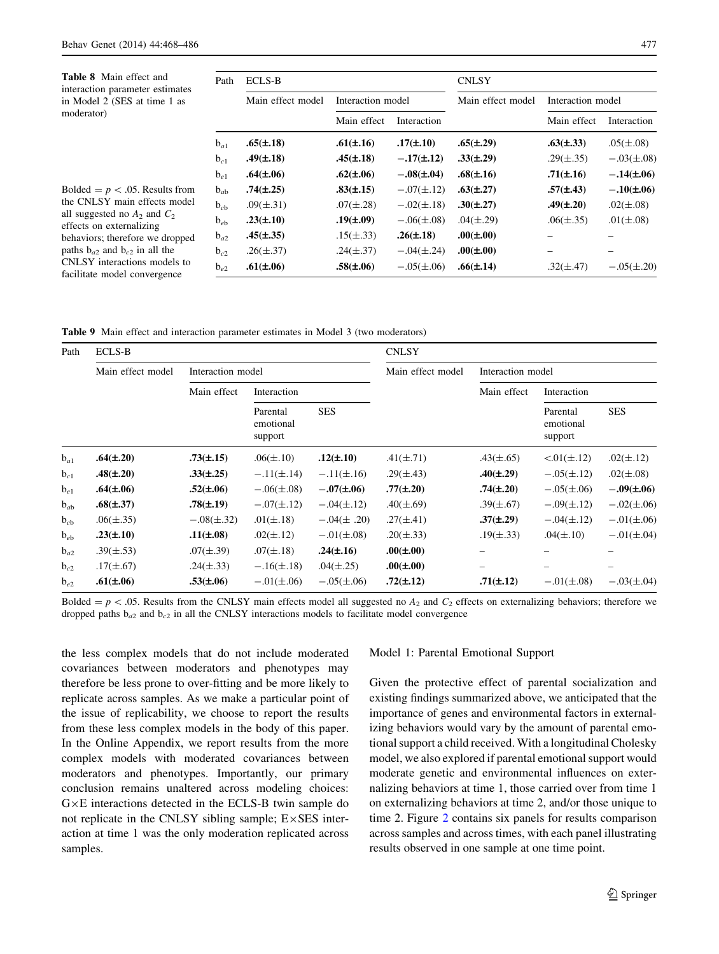<span id="page-9-0"></span>Table 8 Main effect and interaction parameter estimates in Model 2 (SES at time 1 as moderator)

Bolded =  $p$  < .05. Results from the CNLSY main effects model all suggested no  $A_2$  and  $C_2$ effects on externalizing behaviors; therefore we dropped paths  $b_{a2}$  and  $b_{c2}$  in all the CNLSY interactions models to facilitate model convergence

| Path     | <b>ECLS-B</b>     |                   |                 | <b>CNLSY</b>      |                   |                |  |
|----------|-------------------|-------------------|-----------------|-------------------|-------------------|----------------|--|
|          | Main effect model | Interaction model |                 | Main effect model | Interaction model |                |  |
|          |                   | Main effect       | Interaction     |                   | Main effect       | Interaction    |  |
| $b_{a1}$ | $.65(\pm.18)$     | $.61(\pm.16)$     | $.17(\pm.10)$   | $.65(\pm.29)$     | $.63(\pm .33)$    | $.05(\pm.08)$  |  |
| $b_{c1}$ | $.49(\pm.18)$     | $.45(\pm.18)$     | $-.17(\pm.12)$  | $.33(\pm .29)$    | $.29(\pm .35)$    | $-.03(\pm.08)$ |  |
| $b_{e1}$ | $.64(\pm.06)$     | $.62(\pm.06)$     | $-.08(\pm.04)$  | $.68(\pm.16)$     | $.71(\pm.16)$     | $-.14(\pm.06)$ |  |
| $b_{ab}$ | $.74(\pm.25)$     | $.83(\pm .15)$    | $-.07(\pm.12)$  | $.63(\pm.27)$     | $.57(\pm .43)$    | $-.10(\pm.06)$ |  |
| $b_{cb}$ | $.09(\pm .31)$    | $.07(\pm.28)$     | $-.02(\pm.18)$  | $.30(\pm.27)$     | $.49(\pm.20)$     | $.02(\pm.08)$  |  |
| $b_{eh}$ | $.23(\pm.10)$     | $.19(\pm.09)$     | $-.06(\pm.08)$  | $.04(\pm.29)$     | $.06(\pm .35)$    | $.01(\pm.08)$  |  |
| $b_{a2}$ | $.45(\pm .35)$    | $.15(\pm .33)$    | $.26(\pm.18)$   | $.00(\pm.00)$     |                   |                |  |
| $b_{c2}$ | $.26(\pm .37)$    | $.24(\pm .37)$    | $-.04(\pm .24)$ | $.00(\pm.00)$     |                   |                |  |
| $b_{e2}$ | $.61(\pm.06)$     | $.58(\pm.06)$     | $-.05(\pm.06)$  | $.66(\pm.14)$     | $.32(\pm .47)$    | $-.05(\pm.20)$ |  |

Table 9 Main effect and interaction parameter estimates in Model 3 (two moderators)

| Path     | <b>ECLS-B</b>     |                   |                                  |                 | <b>CNLSY</b>      |                   |                                  |                |  |
|----------|-------------------|-------------------|----------------------------------|-----------------|-------------------|-------------------|----------------------------------|----------------|--|
|          | Main effect model | Interaction model |                                  |                 | Main effect model | Interaction model |                                  |                |  |
|          |                   | Main effect       | Interaction                      |                 |                   | Main effect       | Interaction                      |                |  |
|          |                   |                   | Parental<br>emotional<br>support | <b>SES</b>      |                   |                   | Parental<br>emotional<br>support | <b>SES</b>     |  |
| $b_{a1}$ | $.64(\pm.20)$     | $.73(\pm.15)$     | $.06(\pm.10)$                    | $.12(\pm .10)$  | $.41(\pm .71)$    | $.43(\pm .65)$    | $< 01 (\pm .12)$                 | $.02(\pm.12)$  |  |
| $b_{c1}$ | $.48(\pm.20)$     | $.33(\pm .25)$    | $-.11(\pm .14)$                  | $-.11(\pm .16)$ | $.29(\pm .43)$    | $.40(\pm.29)$     | $-.05(\pm.12)$                   | $.02(\pm.08)$  |  |
| $b_{e1}$ | $.64(\pm.06)$     | $.52(\pm.06)$     | $-.06(\pm.08)$                   | $-.07(\pm.06)$  | $.77(\pm.20)$     | $.74(\pm.20)$     | $-.05(\pm.06)$                   | $-.09(\pm.06)$ |  |
| $b_{ab}$ | $.68(\pm.37)$     | $.78(\pm.19)$     | $-.07(\pm.12)$                   | $-.04(\pm.12)$  | $.40(\pm.69)$     | $.39(\pm .67)$    | $-.09(\pm.12)$                   | $-.02(\pm.06)$ |  |
| $b_{cb}$ | $.06(\pm.35)$     | $-.08(\pm .32)$   | $.01(\pm.18)$                    | $-.04(\pm .20)$ | $.27(\pm .41)$    | $.37(\pm.29)$     | $-.04(\pm.12)$                   | $-.01(\pm.06)$ |  |
| $b_{eb}$ | $.23(\pm.10)$     | $.11(\pm.08)$     | $.02(\pm.12)$                    | $-.01(\pm.08)$  | $.20(\pm .33)$    | $.19(\pm .33)$    | $.04(\pm.10)$                    | $-.01(\pm.04)$ |  |
| $b_{a2}$ | $.39(\pm .53)$    | $.07(\pm.39)$     | $.07(\pm.18)$                    | $.24(\pm .16)$  | $.00(\pm.00)$     |                   |                                  |                |  |
| $b_{c2}$ | $.17(\pm .67)$    | $.24(\pm .33)$    | $-.16(\pm.18)$                   | $.04(\pm.25)$   | $.00(\pm.00)$     |                   |                                  |                |  |
| $b_{e2}$ | $.61(\pm.06)$     | $.53(\pm.06)$     | $-.01(\pm.06)$                   | $-.05(\pm.06)$  | $.72(\pm.12)$     | $.71(\pm.12)$     | $-.01(\pm.08)$                   | $-.03(\pm.04)$ |  |

Bolded =  $p$  < .05. Results from the CNLSY main effects model all suggested no  $A_2$  and  $C_2$  effects on externalizing behaviors; therefore we dropped paths  $b_{\alpha2}$  and  $b_{\alpha2}$  in all the CNLSY interactions models to facilitate model convergence

the less complex models that do not include moderated covariances between moderators and phenotypes may therefore be less prone to over-fitting and be more likely to replicate across samples. As we make a particular point of the issue of replicability, we choose to report the results from these less complex models in the body of this paper. In the Online Appendix, we report results from the more complex models with moderated covariances between moderators and phenotypes. Importantly, our primary conclusion remains unaltered across modeling choices:  $G \times E$  interactions detected in the ECLS-B twin sample do not replicate in the CNLSY sibling sample;  $E \times SES$  interaction at time 1 was the only moderation replicated across samples.

#### Model 1: Parental Emotional Support

Given the protective effect of parental socialization and existing findings summarized above, we anticipated that the importance of genes and environmental factors in externalizing behaviors would vary by the amount of parental emotional support a child received. With a longitudinal Cholesky model, we also explored if parental emotional support would moderate genetic and environmental influences on externalizing behaviors at time 1, those carried over from time 1 on externalizing behaviors at time 2, and/or those unique to time 2. Figure [2](#page-10-0) contains six panels for results comparison across samples and across times, with each panel illustrating results observed in one sample at one time point.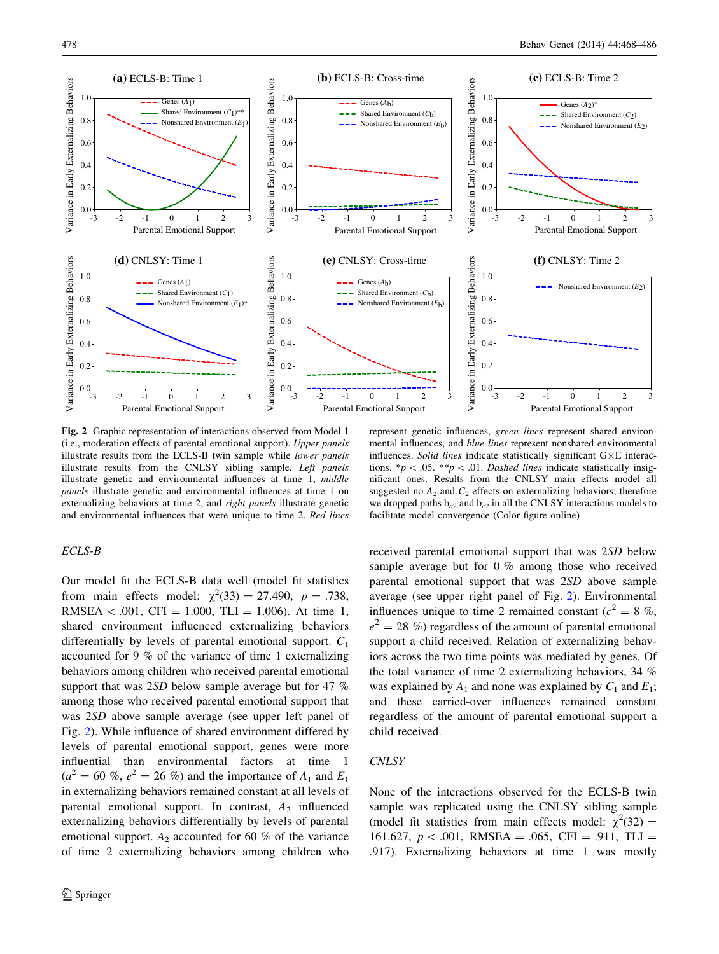<span id="page-10-0"></span>

Fig. 2 Graphic representation of interactions observed from Model 1 (i.e., moderation effects of parental emotional support). Upper panels illustrate results from the ECLS-B twin sample while lower panels illustrate results from the CNLSY sibling sample. Left panels illustrate genetic and environmental influences at time 1, middle panels illustrate genetic and environmental influences at time 1 on externalizing behaviors at time 2, and right panels illustrate genetic and environmental influences that were unique to time 2. Red lines

# ECLS-B

Our model fit the ECLS-B data well (model fit statistics from main effects model:  $\chi^2(33) = 27.490$ ,  $p = .738$ , RMSEA < .001, CFI = 1.000, TLI = 1.006). At time 1, shared environment influenced externalizing behaviors differentially by levels of parental emotional support.  $C_1$ accounted for 9 % of the variance of time 1 externalizing behaviors among children who received parental emotional support that was 2SD below sample average but for 47 % among those who received parental emotional support that was 2SD above sample average (see upper left panel of Fig. 2). While influence of shared environment differed by levels of parental emotional support, genes were more influential than environmental factors at time 1  $(a^{2} = 60 \% , e^{2} = 26 \% )$  and the importance of  $A_1$  and  $E_1$ in externalizing behaviors remained constant at all levels of parental emotional support. In contrast,  $A_2$  influenced externalizing behaviors differentially by levels of parental emotional support.  $A_2$  accounted for 60 % of the variance of time 2 externalizing behaviors among children who

represent genetic influences, green lines represent shared environmental influences, and blue lines represent nonshared environmental influences. Solid lines indicate statistically significant  $G \times E$  interactions.  $*p\lt .05.$  \*\*p $\lt .01.$  Dashed lines indicate statistically insignificant ones. Results from the CNLSY main effects model all suggested no  $A_2$  and  $C_2$  effects on externalizing behaviors; therefore we dropped paths  $b_{a2}$  and  $b_{c2}$  in all the CNLSY interactions models to facilitate model convergence (Color figure online)

received parental emotional support that was 2SD below sample average but for 0 % among those who received parental emotional support that was 2SD above sample average (see upper right panel of Fig. 2). Environmental influences unique to time 2 remained constant ( $c^2 = 8$  %,  $e^{2} = 28 \%$ ) regardless of the amount of parental emotional support a child received. Relation of externalizing behaviors across the two time points was mediated by genes. Of the total variance of time 2 externalizing behaviors, 34 % was explained by  $A_1$  and none was explained by  $C_1$  and  $E_1$ ; and these carried-over influences remained constant regardless of the amount of parental emotional support a child received.

# **CNLSY**

None of the interactions observed for the ECLS-B twin sample was replicated using the CNLSY sibling sample (model fit statistics from main effects model:  $\chi^2(32)$  = 161.627,  $p < .001$ , RMSEA = .065, CFI = .911, TLI = .917). Externalizing behaviors at time 1 was mostly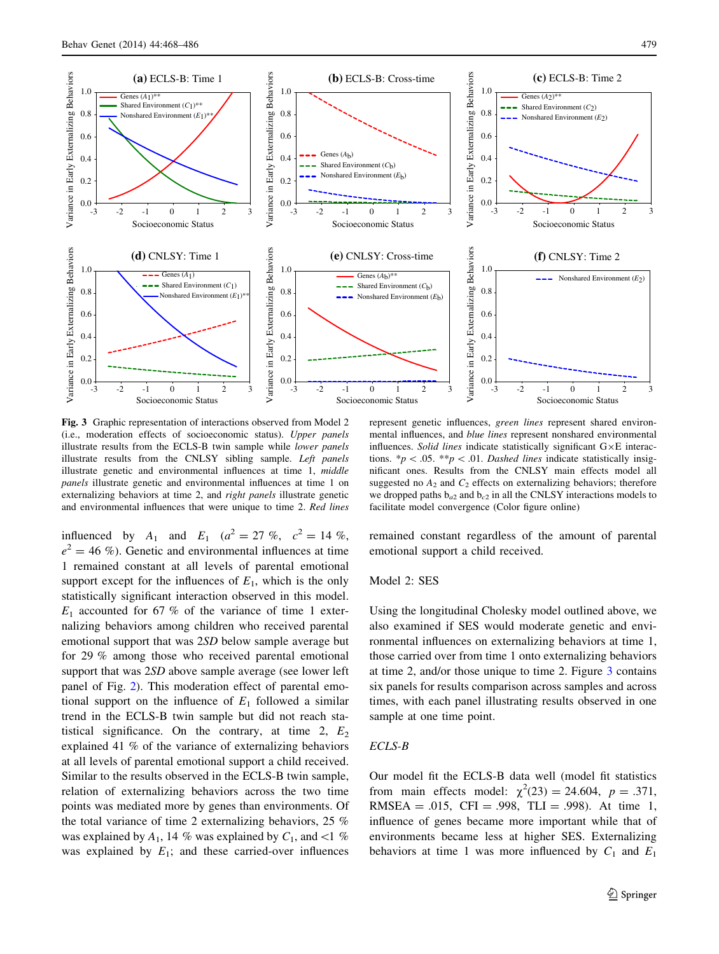<span id="page-11-0"></span>

Fig. 3 Graphic representation of interactions observed from Model 2 (i.e., moderation effects of socioeconomic status). Upper panels illustrate results from the ECLS-B twin sample while lower panels illustrate results from the CNLSY sibling sample. Left panels illustrate genetic and environmental influences at time 1, middle panels illustrate genetic and environmental influences at time 1 on externalizing behaviors at time 2, and right panels illustrate genetic and environmental influences that were unique to time 2. Red lines

influenced by  $A_1$  and  $E_1$  ( $a^2 = 27$  %,  $c^2 = 14$  %,  $e^2 = 46 \%$ ). Genetic and environmental influences at time 1 remained constant at all levels of parental emotional support except for the influences of  $E_1$ , which is the only statistically significant interaction observed in this model.  $E_1$  accounted for 67 % of the variance of time 1 externalizing behaviors among children who received parental emotional support that was 2SD below sample average but for 29 % among those who received parental emotional support that was 2SD above sample average (see lower left panel of Fig. [2\)](#page-10-0). This moderation effect of parental emotional support on the influence of  $E_1$  followed a similar trend in the ECLS-B twin sample but did not reach statistical significance. On the contrary, at time 2,  $E_2$ explained 41 % of the variance of externalizing behaviors at all levels of parental emotional support a child received. Similar to the results observed in the ECLS-B twin sample, relation of externalizing behaviors across the two time points was mediated more by genes than environments. Of the total variance of time 2 externalizing behaviors, 25 % was explained by  $A_1$ , 14 % was explained by  $C_1$ , and <1 % was explained by  $E_1$ ; and these carried-over influences

represent genetic influences, green lines represent shared environmental influences, and blue lines represent nonshared environmental influences. Solid lines indicate statistically significant  $G \times E$  interactions.  $*p$  < .05.  $**p$  < .01. Dashed lines indicate statistically insignificant ones. Results from the CNLSY main effects model all suggested no  $A_2$  and  $C_2$  effects on externalizing behaviors; therefore we dropped paths  $b_{a2}$  and  $b_{c2}$  in all the CNLSY interactions models to facilitate model convergence (Color figure online)

remained constant regardless of the amount of parental emotional support a child received.

# Model 2: SES

Using the longitudinal Cholesky model outlined above, we also examined if SES would moderate genetic and environmental influences on externalizing behaviors at time 1, those carried over from time 1 onto externalizing behaviors at time 2, and/or those unique to time 2. Figure 3 contains six panels for results comparison across samples and across times, with each panel illustrating results observed in one sample at one time point.

## ECLS-B

Our model fit the ECLS-B data well (model fit statistics from main effects model:  $\chi^2(23) = 24.604$ ,  $p = .371$ , RMSEA = .015, CFI = .998, TLI = .998). At time 1, influence of genes became more important while that of environments became less at higher SES. Externalizing behaviors at time 1 was more influenced by  $C_1$  and  $E_1$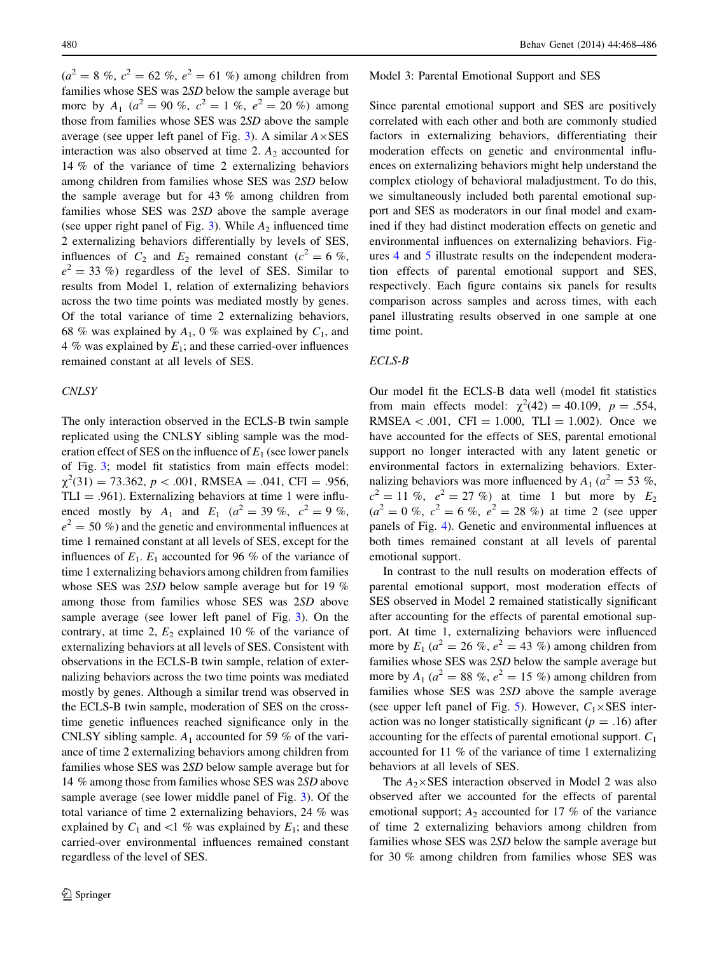$(a^{2} = 8 \, \%, c^{2} = 62 \, \%, e^{2} = 61 \, \%)$  among children from families whose SES was 2SD below the sample average but more by  $A_1$  ( $a^2 = 90\%$ ,  $c^2 = 1\%$ ,  $e^2 = 20\%$ ) among those from families whose SES was 2SD above the sample average (see upper left panel of Fig. [3\)](#page-11-0). A similar  $A \times SES$ interaction was also observed at time 2.  $A_2$  accounted for 14 % of the variance of time 2 externalizing behaviors among children from families whose SES was 2SD below the sample average but for 43 % among children from families whose SES was 2SD above the sample average (see upper right panel of Fig. [3\)](#page-11-0). While  $A_2$  influenced time 2 externalizing behaviors differentially by levels of SES, influences of  $C_2$  and  $E_2$  remained constant ( $c^2 = 6 \%$ ,  $e^2 = 33$  %) regardless of the level of SES. Similar to results from Model 1, relation of externalizing behaviors across the two time points was mediated mostly by genes. Of the total variance of time 2 externalizing behaviors, 68 % was explained by  $A_1$ , 0 % was explained by  $C_1$ , and 4 % was explained by  $E_1$ ; and these carried-over influences remained constant at all levels of SES.

## **CNLSY**

The only interaction observed in the ECLS-B twin sample replicated using the CNLSY sibling sample was the moderation effect of SES on the influence of  $E_1$  (see lower panels of Fig. [3;](#page-11-0) model fit statistics from main effects model:  $\chi^2(31) = 73.362, p < .001, RMSEA = .041, CFI = .956,$  $TLI = .961$ ). Externalizing behaviors at time 1 were influenced mostly by  $A_1$  and  $E_1$  ( $a^2 = 39\%$ ,  $c^2 = 9\%$ ,  $e^2 = 50 \%$ ) and the genetic and environmental influences at time 1 remained constant at all levels of SES, except for the influences of  $E_1$ .  $E_1$  accounted for 96 % of the variance of time 1 externalizing behaviors among children from families whose SES was 2SD below sample average but for 19 % among those from families whose SES was 2SD above sample average (see lower left panel of Fig. [3\)](#page-11-0). On the contrary, at time 2,  $E_2$  explained 10 % of the variance of externalizing behaviors at all levels of SES. Consistent with observations in the ECLS-B twin sample, relation of externalizing behaviors across the two time points was mediated mostly by genes. Although a similar trend was observed in the ECLS-B twin sample, moderation of SES on the crosstime genetic influences reached significance only in the CNLSY sibling sample.  $A_1$  accounted for 59 % of the variance of time 2 externalizing behaviors among children from families whose SES was 2SD below sample average but for 14 % among those from families whose SES was 2SD above sample average (see lower middle panel of Fig. [3](#page-11-0)). Of the total variance of time 2 externalizing behaviors, 24 % was explained by  $C_1$  and  $\lt 1$  % was explained by  $E_1$ ; and these carried-over environmental influences remained constant regardless of the level of SES.

#### Model 3: Parental Emotional Support and SES

Since parental emotional support and SES are positively correlated with each other and both are commonly studied factors in externalizing behaviors, differentiating their moderation effects on genetic and environmental influences on externalizing behaviors might help understand the complex etiology of behavioral maladjustment. To do this, we simultaneously included both parental emotional support and SES as moderators in our final model and examined if they had distinct moderation effects on genetic and environmental influences on externalizing behaviors. Figures [4](#page-13-0) and [5](#page-14-0) illustrate results on the independent moderation effects of parental emotional support and SES, respectively. Each figure contains six panels for results comparison across samples and across times, with each panel illustrating results observed in one sample at one time point.

#### ECLS-B

Our model fit the ECLS-B data well (model fit statistics from main effects model:  $\chi^2(42) = 40.109$ ,  $p = .554$ , RMSEA < .001, CFI = 1.000, TLI = 1.002). Once we have accounted for the effects of SES, parental emotional support no longer interacted with any latent genetic or environmental factors in externalizing behaviors. Externalizing behaviors was more influenced by  $A_1$  ( $a^2 = 53$ %,  $c^2 = 11 \%$ ,  $e^2 = 27 \%$  at time 1 but more by  $E_2$  $(a^{2} = 0 \, \%, \, c^{2} = 6 \, \%, \, e^{2} = 28 \, \%)$  at time 2 (see upper panels of Fig. [4\)](#page-13-0). Genetic and environmental influences at both times remained constant at all levels of parental emotional support.

In contrast to the null results on moderation effects of parental emotional support, most moderation effects of SES observed in Model 2 remained statistically significant after accounting for the effects of parental emotional support. At time 1, externalizing behaviors were influenced more by  $E_1$  ( $a^2 = 26$  %,  $e^2 = 43$  %) among children from families whose SES was 2SD below the sample average but more by  $A_1$  ( $a^2 = 88\%$ ,  $e^2 = 15\%$ ) among children from families whose SES was 2SD above the sample average (see upper left panel of Fig. [5](#page-14-0)). However,  $C_1 \times$ SES interaction was no longer statistically significant ( $p = .16$ ) after accounting for the effects of parental emotional support.  $C_1$ accounted for 11 % of the variance of time 1 externalizing behaviors at all levels of SES.

The  $A_2 \times$ SES interaction observed in Model 2 was also observed after we accounted for the effects of parental emotional support;  $A_2$  accounted for 17 % of the variance of time 2 externalizing behaviors among children from families whose SES was 2SD below the sample average but for 30 % among children from families whose SES was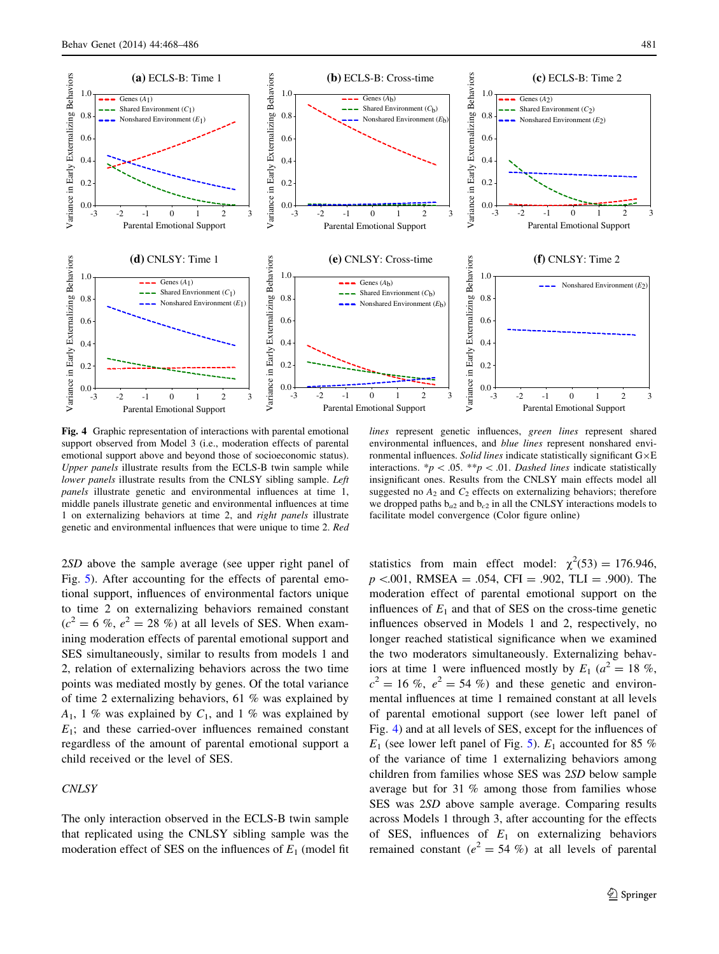

<span id="page-13-0"></span>

Fig. 4 Graphic representation of interactions with parental emotional support observed from Model 3 (i.e., moderation effects of parental emotional support above and beyond those of socioeconomic status). Upper panels illustrate results from the ECLS-B twin sample while lower panels illustrate results from the CNLSY sibling sample. Left panels illustrate genetic and environmental influences at time 1, middle panels illustrate genetic and environmental influences at time 1 on externalizing behaviors at time 2, and right panels illustrate genetic and environmental influences that were unique to time 2. Red

lines represent genetic influences, green lines represent shared environmental influences, and blue lines represent nonshared environmental influences. Solid lines indicate statistically significant  $G \times E$ interactions. \*p < .05. \*\*p < .01. Dashed lines indicate statistically insignificant ones. Results from the CNLSY main effects model all suggested no  $A_2$  and  $C_2$  effects on externalizing behaviors; therefore we dropped paths  $b_{a2}$  and  $b_{c2}$  in all the CNLSY interactions models to facilitate model convergence (Color figure online)

2SD above the sample average (see upper right panel of Fig. [5](#page-14-0)). After accounting for the effects of parental emotional support, influences of environmental factors unique to time 2 on externalizing behaviors remained constant  $(c^2 = 6\%$ ,  $e^2 = 28\%$ ) at all levels of SES. When examining moderation effects of parental emotional support and SES simultaneously, similar to results from models 1 and 2, relation of externalizing behaviors across the two time points was mediated mostly by genes. Of the total variance of time 2 externalizing behaviors, 61 % was explained by  $A_1$ , 1 % was explained by  $C_1$ , and 1 % was explained by  $E_1$ ; and these carried-over influences remained constant regardless of the amount of parental emotional support a child received or the level of SES.

# **CNLSY**

The only interaction observed in the ECLS-B twin sample that replicated using the CNLSY sibling sample was the moderation effect of SES on the influences of  $E_1$  (model fit

statistics from main effect model:  $\chi^2(53) = 176.946$ ,  $p \le 0.001$ , RMSEA = .054, CFI = .902, TLI = .900). The moderation effect of parental emotional support on the influences of  $E_1$  and that of SES on the cross-time genetic influences observed in Models 1 and 2, respectively, no longer reached statistical significance when we examined the two moderators simultaneously. Externalizing behaviors at time 1 were influenced mostly by  $E_1$  ( $a^2 = 18$  %,  $c^2 = 16$  %,  $e^2 = 54$  %) and these genetic and environmental influences at time 1 remained constant at all levels of parental emotional support (see lower left panel of Fig. 4) and at all levels of SES, except for the influences of  $E_1$  (see lower left panel of Fig. [5\)](#page-14-0).  $E_1$  accounted for 85 % of the variance of time 1 externalizing behaviors among children from families whose SES was 2SD below sample average but for 31 % among those from families whose SES was 2SD above sample average. Comparing results across Models 1 through 3, after accounting for the effects of SES, influences of  $E_1$  on externalizing behaviors remained constant ( $e^2 = 54$  %) at all levels of parental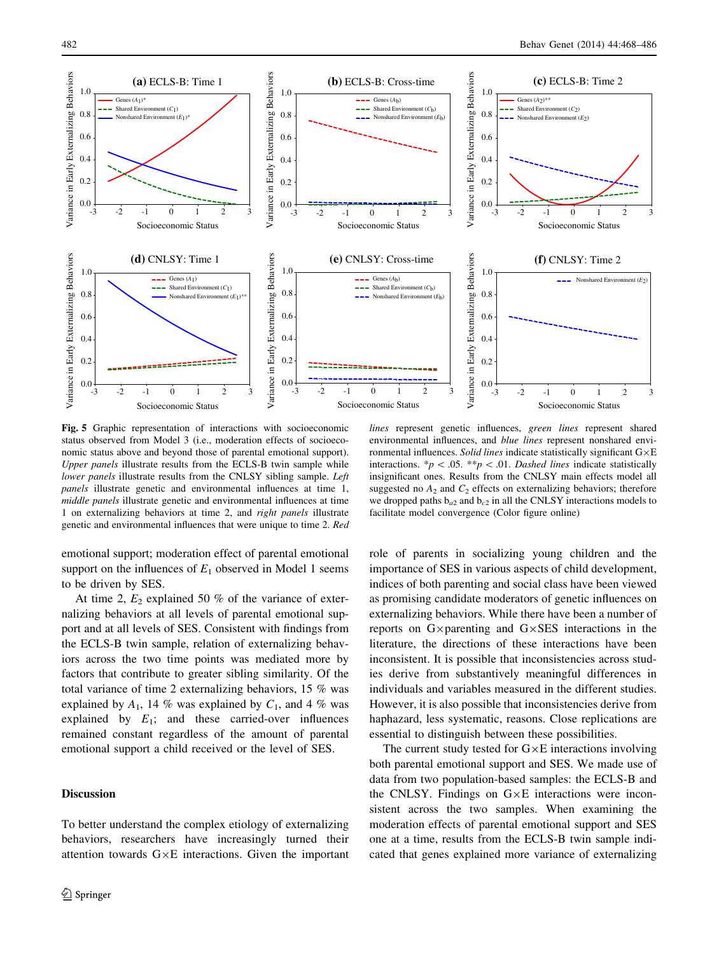<span id="page-14-0"></span>

Fig. 5 Graphic representation of interactions with socioeconomic status observed from Model 3 (i.e., moderation effects of socioeconomic status above and beyond those of parental emotional support). Upper panels illustrate results from the ECLS-B twin sample while lower panels illustrate results from the CNLSY sibling sample. Left panels illustrate genetic and environmental influences at time 1, middle panels illustrate genetic and environmental influences at time 1 on externalizing behaviors at time 2, and right panels illustrate genetic and environmental influences that were unique to time 2. Red

environmental influences, and blue lines represent nonshared environmental influences. Solid lines indicate statistically significant  $G \times E$ interactions. \*p < .05. \*\*p < .01. Dashed lines indicate statistically insignificant ones. Results from the CNLSY main effects model all suggested no  $A_2$  and  $C_2$  effects on externalizing behaviors; therefore we dropped paths  $b_{a2}$  and  $b_{c2}$  in all the CNLSY interactions models to facilitate model convergence (Color figure online)

emotional support; moderation effect of parental emotional support on the influences of  $E_1$  observed in Model 1 seems to be driven by SES.

At time 2,  $E_2$  explained 50 % of the variance of externalizing behaviors at all levels of parental emotional support and at all levels of SES. Consistent with findings from the ECLS-B twin sample, relation of externalizing behaviors across the two time points was mediated more by factors that contribute to greater sibling similarity. Of the total variance of time 2 externalizing behaviors, 15 % was explained by  $A_1$ , 14 % was explained by  $C_1$ , and 4 % was explained by  $E_1$ ; and these carried-over influences remained constant regardless of the amount of parental emotional support a child received or the level of SES.

# Discussion

To better understand the complex etiology of externalizing behaviors, researchers have increasingly turned their attention towards  $G \times E$  interactions. Given the important role of parents in socializing young children and the importance of SES in various aspects of child development, indices of both parenting and social class have been viewed as promising candidate moderators of genetic influences on externalizing behaviors. While there have been a number of reports on  $G \times \text{parenting}$  and  $G \times \text{SES}$  interactions in the literature, the directions of these interactions have been inconsistent. It is possible that inconsistencies across studies derive from substantively meaningful differences in individuals and variables measured in the different studies. However, it is also possible that inconsistencies derive from haphazard, less systematic, reasons. Close replications are essential to distinguish between these possibilities.

The current study tested for  $G \times E$  interactions involving both parental emotional support and SES. We made use of data from two population-based samples: the ECLS-B and the CNLSY. Findings on  $G \times E$  interactions were inconsistent across the two samples. When examining the moderation effects of parental emotional support and SES one at a time, results from the ECLS-B twin sample indicated that genes explained more variance of externalizing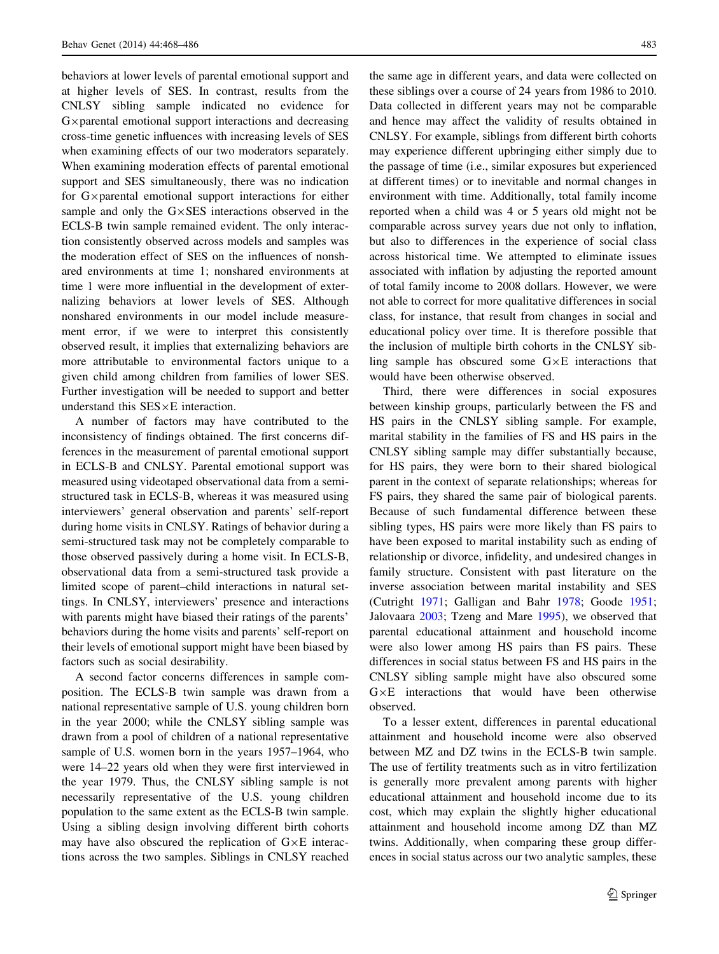behaviors at lower levels of parental emotional support and at higher levels of SES. In contrast, results from the CNLSY sibling sample indicated no evidence for  $G \times$  parental emotional support interactions and decreasing cross-time genetic influences with increasing levels of SES when examining effects of our two moderators separately. When examining moderation effects of parental emotional support and SES simultaneously, there was no indication for  $G \times$  parental emotional support interactions for either sample and only the  $G \times SES$  interactions observed in the ECLS-B twin sample remained evident. The only interaction consistently observed across models and samples was the moderation effect of SES on the influences of nonshared environments at time 1; nonshared environments at time 1 were more influential in the development of externalizing behaviors at lower levels of SES. Although nonshared environments in our model include measurement error, if we were to interpret this consistently observed result, it implies that externalizing behaviors are more attributable to environmental factors unique to a given child among children from families of lower SES. Further investigation will be needed to support and better understand this  $SES \times E$  interaction.

A number of factors may have contributed to the inconsistency of findings obtained. The first concerns differences in the measurement of parental emotional support in ECLS-B and CNLSY. Parental emotional support was measured using videotaped observational data from a semistructured task in ECLS-B, whereas it was measured using interviewers' general observation and parents' self-report during home visits in CNLSY. Ratings of behavior during a semi-structured task may not be completely comparable to those observed passively during a home visit. In ECLS-B, observational data from a semi-structured task provide a limited scope of parent–child interactions in natural settings. In CNLSY, interviewers' presence and interactions with parents might have biased their ratings of the parents' behaviors during the home visits and parents' self-report on their levels of emotional support might have been biased by factors such as social desirability.

A second factor concerns differences in sample composition. The ECLS-B twin sample was drawn from a national representative sample of U.S. young children born in the year 2000; while the CNLSY sibling sample was drawn from a pool of children of a national representative sample of U.S. women born in the years 1957–1964, who were 14–22 years old when they were first interviewed in the year 1979. Thus, the CNLSY sibling sample is not necessarily representative of the U.S. young children population to the same extent as the ECLS-B twin sample. Using a sibling design involving different birth cohorts may have also obscured the replication of  $G \times E$  interactions across the two samples. Siblings in CNLSY reached

the same age in different years, and data were collected on these siblings over a course of 24 years from 1986 to 2010. Data collected in different years may not be comparable and hence may affect the validity of results obtained in CNLSY. For example, siblings from different birth cohorts may experience different upbringing either simply due to the passage of time (i.e., similar exposures but experienced at different times) or to inevitable and normal changes in environment with time. Additionally, total family income reported when a child was 4 or 5 years old might not be comparable across survey years due not only to inflation, but also to differences in the experience of social class across historical time. We attempted to eliminate issues associated with inflation by adjusting the reported amount of total family income to 2008 dollars. However, we were not able to correct for more qualitative differences in social class, for instance, that result from changes in social and educational policy over time. It is therefore possible that the inclusion of multiple birth cohorts in the CNLSY sibling sample has obscured some  $G \times E$  interactions that would have been otherwise observed.

Third, there were differences in social exposures between kinship groups, particularly between the FS and HS pairs in the CNLSY sibling sample. For example, marital stability in the families of FS and HS pairs in the CNLSY sibling sample may differ substantially because, for HS pairs, they were born to their shared biological parent in the context of separate relationships; whereas for FS pairs, they shared the same pair of biological parents. Because of such fundamental difference between these sibling types, HS pairs were more likely than FS pairs to have been exposed to marital instability such as ending of relationship or divorce, infidelity, and undesired changes in family structure. Consistent with past literature on the inverse association between marital instability and SES (Cutright [1971](#page-17-0); Galligan and Bahr [1978](#page-17-0); Goode [1951](#page-17-0); Jalovaara [2003](#page-17-0); Tzeng and Mare [1995\)](#page-18-0), we observed that parental educational attainment and household income were also lower among HS pairs than FS pairs. These differences in social status between FS and HS pairs in the CNLSY sibling sample might have also obscured some  $G \times E$  interactions that would have been otherwise observed.

To a lesser extent, differences in parental educational attainment and household income were also observed between MZ and DZ twins in the ECLS-B twin sample. The use of fertility treatments such as in vitro fertilization is generally more prevalent among parents with higher educational attainment and household income due to its cost, which may explain the slightly higher educational attainment and household income among DZ than MZ twins. Additionally, when comparing these group differences in social status across our two analytic samples, these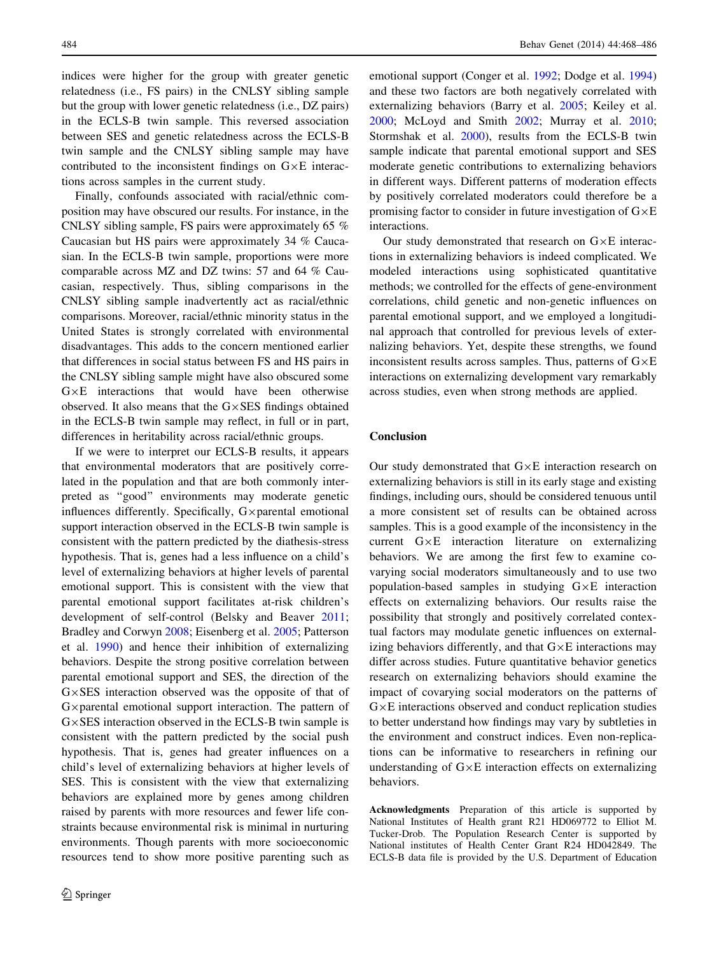indices were higher for the group with greater genetic relatedness (i.e., FS pairs) in the CNLSY sibling sample but the group with lower genetic relatedness (i.e., DZ pairs) in the ECLS-B twin sample. This reversed association between SES and genetic relatedness across the ECLS-B twin sample and the CNLSY sibling sample may have contributed to the inconsistent findings on  $G \times E$  interactions across samples in the current study.

Finally, confounds associated with racial/ethnic composition may have obscured our results. For instance, in the CNLSY sibling sample, FS pairs were approximately 65 % Caucasian but HS pairs were approximately 34 % Caucasian. In the ECLS-B twin sample, proportions were more comparable across MZ and DZ twins: 57 and 64 % Caucasian, respectively. Thus, sibling comparisons in the CNLSY sibling sample inadvertently act as racial/ethnic comparisons. Moreover, racial/ethnic minority status in the United States is strongly correlated with environmental disadvantages. This adds to the concern mentioned earlier that differences in social status between FS and HS pairs in the CNLSY sibling sample might have also obscured some  $G \times E$  interactions that would have been otherwise observed. It also means that the  $G \times SES$  findings obtained in the ECLS-B twin sample may reflect, in full or in part, differences in heritability across racial/ethnic groups.

If we were to interpret our ECLS-B results, it appears that environmental moderators that are positively correlated in the population and that are both commonly interpreted as ''good'' environments may moderate genetic influences differently. Specifically,  $G \times$ parental emotional support interaction observed in the ECLS-B twin sample is consistent with the pattern predicted by the diathesis-stress hypothesis. That is, genes had a less influence on a child's level of externalizing behaviors at higher levels of parental emotional support. This is consistent with the view that parental emotional support facilitates at-risk children's development of self-control (Belsky and Beaver [2011](#page-17-0); Bradley and Corwyn [2008;](#page-17-0) Eisenberg et al. [2005;](#page-17-0) Patterson et al. [1990](#page-18-0)) and hence their inhibition of externalizing behaviors. Despite the strong positive correlation between parental emotional support and SES, the direction of the  $G \times SES$  interaction observed was the opposite of that of  $G \times$  parental emotional support interaction. The pattern of  $G \times SES$  interaction observed in the ECLS-B twin sample is consistent with the pattern predicted by the social push hypothesis. That is, genes had greater influences on a child's level of externalizing behaviors at higher levels of SES. This is consistent with the view that externalizing behaviors are explained more by genes among children raised by parents with more resources and fewer life constraints because environmental risk is minimal in nurturing environments. Though parents with more socioeconomic resources tend to show more positive parenting such as

emotional support (Conger et al. [1992;](#page-17-0) Dodge et al. [1994\)](#page-17-0) and these two factors are both negatively correlated with externalizing behaviors (Barry et al. [2005;](#page-17-0) Keiley et al. [2000](#page-18-0); McLoyd and Smith [2002;](#page-18-0) Murray et al. [2010](#page-18-0); Stormshak et al. [2000\)](#page-18-0), results from the ECLS-B twin sample indicate that parental emotional support and SES moderate genetic contributions to externalizing behaviors in different ways. Different patterns of moderation effects by positively correlated moderators could therefore be a promising factor to consider in future investigation of  $G \times E$ interactions.

Our study demonstrated that research on  $G \times E$  interactions in externalizing behaviors is indeed complicated. We modeled interactions using sophisticated quantitative methods; we controlled for the effects of gene-environment correlations, child genetic and non-genetic influences on parental emotional support, and we employed a longitudinal approach that controlled for previous levels of externalizing behaviors. Yet, despite these strengths, we found inconsistent results across samples. Thus, patterns of  $G \times E$ interactions on externalizing development vary remarkably across studies, even when strong methods are applied.

# Conclusion

Our study demonstrated that  $G \times E$  interaction research on externalizing behaviors is still in its early stage and existing findings, including ours, should be considered tenuous until a more consistent set of results can be obtained across samples. This is a good example of the inconsistency in the current  $G \times E$  interaction literature on externalizing behaviors. We are among the first few to examine covarying social moderators simultaneously and to use two population-based samples in studying  $G \times E$  interaction effects on externalizing behaviors. Our results raise the possibility that strongly and positively correlated contextual factors may modulate genetic influences on externalizing behaviors differently, and that  $G \times E$  interactions may differ across studies. Future quantitative behavior genetics research on externalizing behaviors should examine the impact of covarying social moderators on the patterns of  $G \times E$  interactions observed and conduct replication studies to better understand how findings may vary by subtleties in the environment and construct indices. Even non-replications can be informative to researchers in refining our understanding of  $G \times E$  interaction effects on externalizing behaviors.

Acknowledgments Preparation of this article is supported by National Institutes of Health grant R21 HD069772 to Elliot M. Tucker-Drob. The Population Research Center is supported by National institutes of Health Center Grant R24 HD042849. The ECLS-B data file is provided by the U.S. Department of Education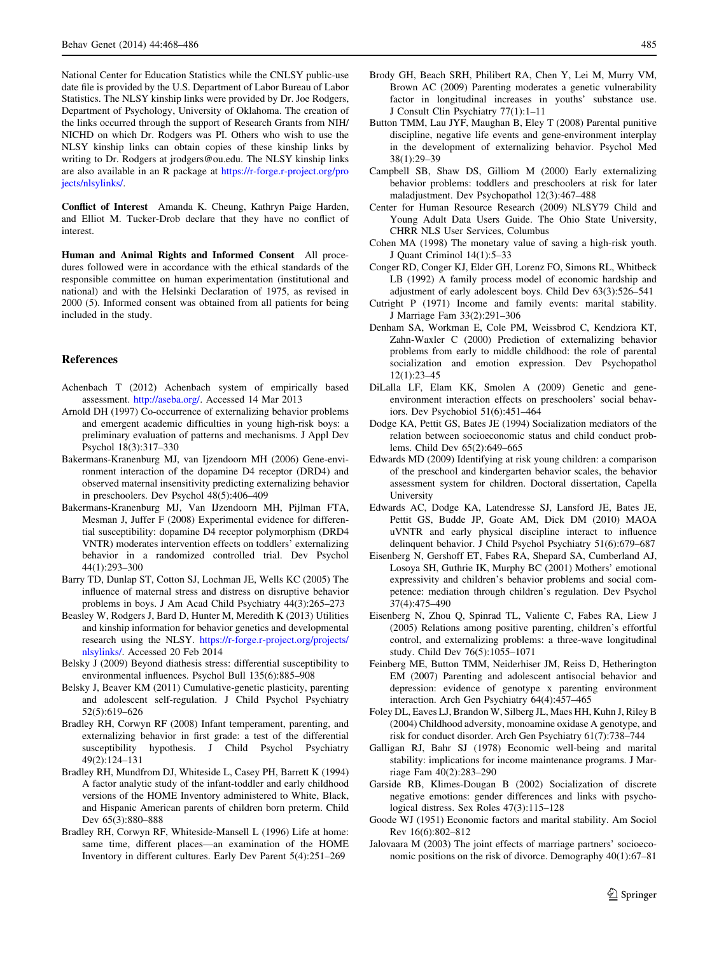<span id="page-17-0"></span>National Center for Education Statistics while the CNLSY public-use date file is provided by the U.S. Department of Labor Bureau of Labor Statistics. The NLSY kinship links were provided by Dr. Joe Rodgers, Department of Psychology, University of Oklahoma. The creation of the links occurred through the support of Research Grants from NIH/ NICHD on which Dr. Rodgers was PI. Others who wish to use the NLSY kinship links can obtain copies of these kinship links by writing to Dr. Rodgers at jrodgers@ou.edu. The NLSY kinship links are also available in an R package at [https://r-forge.r-project.org/pro](https://r-forge.r-project.org/projects/nlsylinks/) [jects/nlsylinks/.](https://r-forge.r-project.org/projects/nlsylinks/)

Conflict of Interest Amanda K. Cheung, Kathryn Paige Harden, and Elliot M. Tucker-Drob declare that they have no conflict of interest.

Human and Animal Rights and Informed Consent All procedures followed were in accordance with the ethical standards of the responsible committee on human experimentation (institutional and national) and with the Helsinki Declaration of 1975, as revised in 2000 (5). Informed consent was obtained from all patients for being included in the study.

# References

- Achenbach T (2012) Achenbach system of empirically based assessment. [http://aseba.org/.](http://aseba.org/) Accessed 14 Mar 2013
- Arnold DH (1997) Co-occurrence of externalizing behavior problems and emergent academic difficulties in young high-risk boys: a preliminary evaluation of patterns and mechanisms. J Appl Dev Psychol 18(3):317–330
- Bakermans-Kranenburg MJ, van Ijzendoorn MH (2006) Gene-environment interaction of the dopamine D4 receptor (DRD4) and observed maternal insensitivity predicting externalizing behavior in preschoolers. Dev Psychol 48(5):406–409
- Bakermans-Kranenburg MJ, Van IJzendoorn MH, Pijlman FTA, Mesman J, Juffer F (2008) Experimental evidence for differential susceptibility: dopamine D4 receptor polymorphism (DRD4 VNTR) moderates intervention effects on toddlers' externalizing behavior in a randomized controlled trial. Dev Psychol 44(1):293–300
- Barry TD, Dunlap ST, Cotton SJ, Lochman JE, Wells KC (2005) The influence of maternal stress and distress on disruptive behavior problems in boys. J Am Acad Child Psychiatry 44(3):265–273
- Beasley W, Rodgers J, Bard D, Hunter M, Meredith K (2013) Utilities and kinship information for behavior genetics and developmental research using the NLSY. [https://r-forge.r-project.org/projects/](https://r-forge.r-project.org/projects/nlsylinks/) [nlsylinks/](https://r-forge.r-project.org/projects/nlsylinks/). Accessed 20 Feb 2014
- Belsky J (2009) Beyond diathesis stress: differential susceptibility to environmental influences. Psychol Bull 135(6):885–908
- Belsky J, Beaver KM (2011) Cumulative-genetic plasticity, parenting and adolescent self-regulation. J Child Psychol Psychiatry 52(5):619–626
- Bradley RH, Corwyn RF (2008) Infant temperament, parenting, and externalizing behavior in first grade: a test of the differential susceptibility hypothesis. J Child Psychol Psychiatry 49(2):124–131
- Bradley RH, Mundfrom DJ, Whiteside L, Casey PH, Barrett K (1994) A factor analytic study of the infant-toddler and early childhood versions of the HOME Inventory administered to White, Black, and Hispanic American parents of children born preterm. Child Dev 65(3):880–888
- Bradley RH, Corwyn RF, Whiteside-Mansell L (1996) Life at home: same time, different places—an examination of the HOME Inventory in different cultures. Early Dev Parent 5(4):251–269
- Brody GH, Beach SRH, Philibert RA, Chen Y, Lei M, Murry VM, Brown AC (2009) Parenting moderates a genetic vulnerability factor in longitudinal increases in youths' substance use. J Consult Clin Psychiatry 77(1):1–11
- Button TMM, Lau JYF, Maughan B, Eley T (2008) Parental punitive discipline, negative life events and gene-environment interplay in the development of externalizing behavior. Psychol Med 38(1):29–39
- Campbell SB, Shaw DS, Gilliom M (2000) Early externalizing behavior problems: toddlers and preschoolers at risk for later maladjustment. Dev Psychopathol 12(3):467–488
- Center for Human Resource Research (2009) NLSY79 Child and Young Adult Data Users Guide. The Ohio State University, CHRR NLS User Services, Columbus
- Cohen MA (1998) The monetary value of saving a high-risk youth. J Quant Criminol 14(1):5–33
- Conger RD, Conger KJ, Elder GH, Lorenz FO, Simons RL, Whitbeck LB (1992) A family process model of economic hardship and adjustment of early adolescent boys. Child Dev 63(3):526–541
- Cutright P (1971) Income and family events: marital stability. J Marriage Fam 33(2):291–306
- Denham SA, Workman E, Cole PM, Weissbrod C, Kendziora KT, Zahn-Waxler C (2000) Prediction of externalizing behavior problems from early to middle childhood: the role of parental socialization and emotion expression. Dev Psychopathol 12(1):23–45
- DiLalla LF, Elam KK, Smolen A (2009) Genetic and geneenvironment interaction effects on preschoolers' social behaviors. Dev Psychobiol 51(6):451–464
- Dodge KA, Pettit GS, Bates JE (1994) Socialization mediators of the relation between socioeconomic status and child conduct problems. Child Dev 65(2):649–665
- Edwards MD (2009) Identifying at risk young children: a comparison of the preschool and kindergarten behavior scales, the behavior assessment system for children. Doctoral dissertation, Capella University
- Edwards AC, Dodge KA, Latendresse SJ, Lansford JE, Bates JE, Pettit GS, Budde JP, Goate AM, Dick DM (2010) MAOA uVNTR and early physical discipline interact to influence delinquent behavior. J Child Psychol Psychiatry 51(6):679–687
- Eisenberg N, Gershoff ET, Fabes RA, Shepard SA, Cumberland AJ, Losoya SH, Guthrie IK, Murphy BC (2001) Mothers' emotional expressivity and children's behavior problems and social competence: mediation through children's regulation. Dev Psychol 37(4):475–490
- Eisenberg N, Zhou Q, Spinrad TL, Valiente C, Fabes RA, Liew J (2005) Relations among positive parenting, children's effortful control, and externalizing problems: a three-wave longitudinal study. Child Dev 76(5):1055–1071
- Feinberg ME, Button TMM, Neiderhiser JM, Reiss D, Hetherington EM (2007) Parenting and adolescent antisocial behavior and depression: evidence of genotype x parenting environment interaction. Arch Gen Psychiatry 64(4):457–465
- Foley DL, Eaves LJ, Brandon W, Silberg JL, Maes HH, Kuhn J, Riley B (2004) Childhood adversity, monoamine oxidase A genotype, and risk for conduct disorder. Arch Gen Psychiatry 61(7):738–744
- Galligan RJ, Bahr SJ (1978) Economic well-being and marital stability: implications for income maintenance programs. J Marriage Fam 40(2):283–290
- Garside RB, Klimes-Dougan B (2002) Socialization of discrete negative emotions: gender differences and links with psychological distress. Sex Roles 47(3):115–128
- Goode WJ (1951) Economic factors and marital stability. Am Sociol Rev 16(6):802–812
- Jalovaara M (2003) The joint effects of marriage partners' socioeconomic positions on the risk of divorce. Demography 40(1):67–81